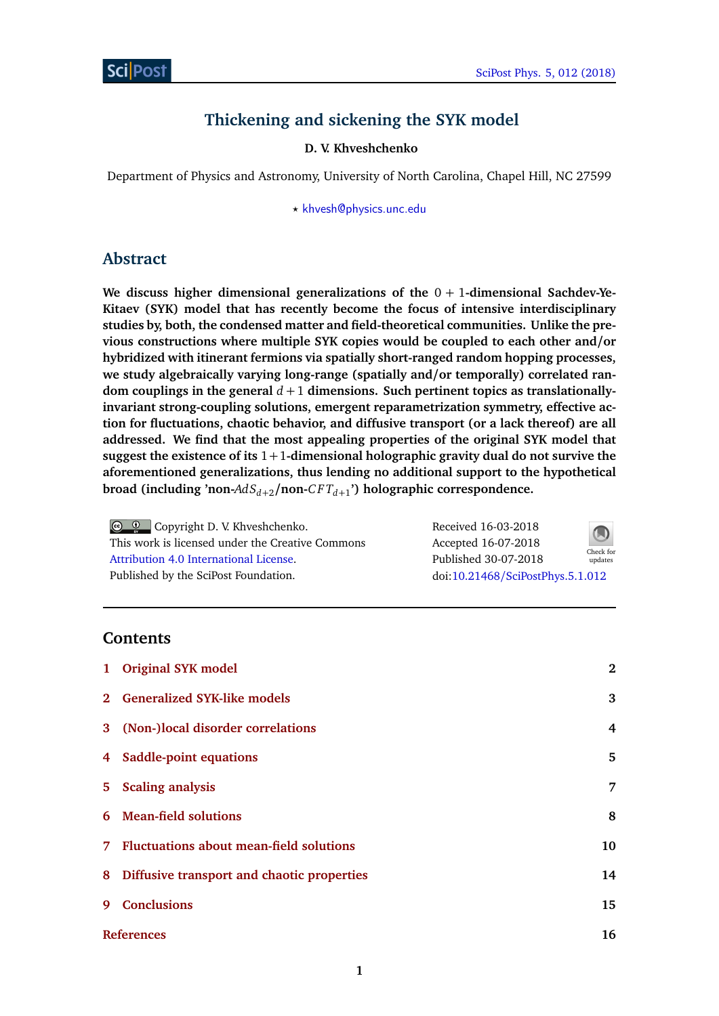# **Thickening and sickening the SYK model**

#### **D. V. Khveshchenko**

Department of Physics and Astronomy, University of North Carolina, Chapel Hill, NC 27599

*?* [khvesh@physics.unc.edu](mailto:[khvesh@physics.unc.edu])

## **Abstract**

**We discuss higher dimensional generalizations of the** 0 + 1**-dimensional Sachdev-Ye-Kitaev (SYK) model that has recently become the focus of intensive interdisciplinary studies by, both, the condensed matter and field-theoretical communities. Unlike the previous constructions where multiple SYK copies would be coupled to each other and/or hybridized with itinerant fermions via spatially short-ranged random hopping processes, we study algebraically varying long-range (spatially and/or temporally) correlated ran**dom couplings in the general  $d + 1$  dimensions. Such pertinent topics as translationally**invariant strong-coupling solutions, emergent reparametrization symmetry, effective action for fluctuations, chaotic behavior, and diffusive transport (or a lack thereof) are all addressed. We find that the most appealing properties of the original SYK model that suggest the existence of its** 1+1**-dimensional holographic gravity dual do not survive the aforementioned generalizations, thus lending no additional support to the hypothetical broad (including 'non-***AdSd*+2**/non-***C F Td*+<sup>1</sup> **') holographic correspondence.**

Copyright D. V. Khveshchenko. This work is licensed under the Creative Commons [Attribution 4.0 International License.](http://creativecommons.org/licenses/by/4.0/) Published by the SciPost Foundation.

Received 16-03-2018 Accepted 16-07-2018 Published 30-07-2018 Check for updates doi:10.21468/[SciPostPhys.5.1.012](http://dx.doi.org/10.21468/SciPostPhys.5.1.012)

### **Contents**

|                   | 1 Original SYK model                         | $\mathbf{2}$ |
|-------------------|----------------------------------------------|--------------|
|                   | 2 Generalized SYK-like models                | 3            |
|                   | 3 (Non-)local disorder correlations          | 4            |
|                   | 4 Saddle-point equations                     | 5            |
|                   | 5 Scaling analysis                           | 7            |
|                   | 6 Mean-field solutions                       | 8            |
|                   | 7 Fluctuations about mean-field solutions    | 10           |
|                   | 8 Diffusive transport and chaotic properties | 14           |
| 9                 | <b>Conclusions</b>                           | 15           |
| <b>References</b> |                                              | 16           |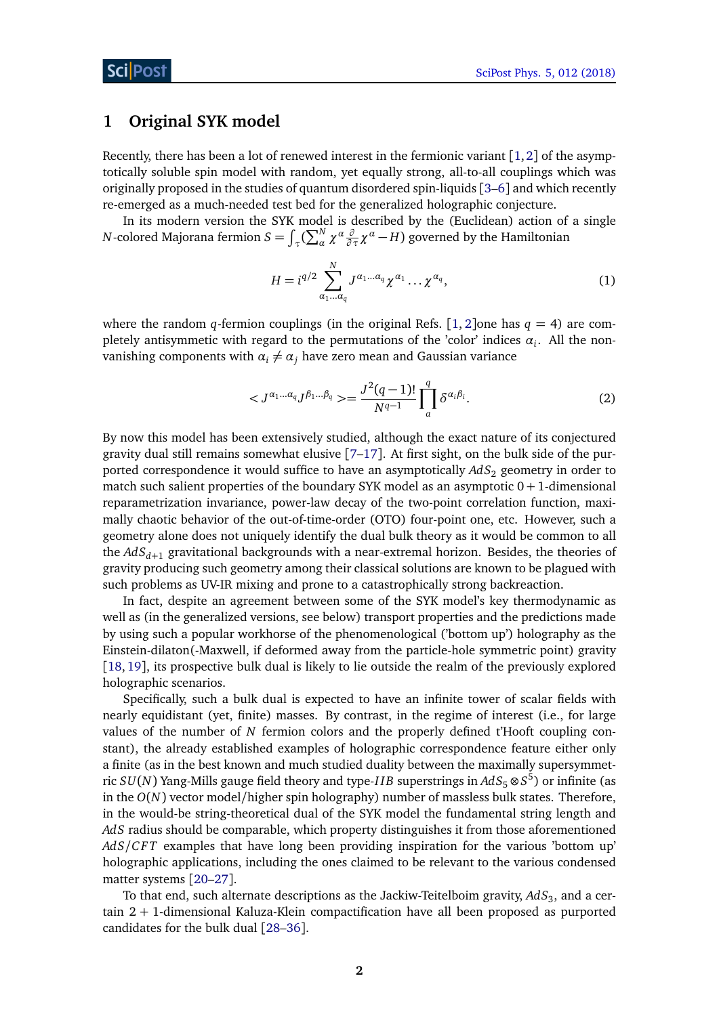## <span id="page-1-0"></span>**1 Original SYK model**

Recently, there has been a lot of renewed interest in the fermionic variant  $[1,2]$  $[1,2]$  $[1,2]$  $[1,2]$  of the asymptotically soluble spin model with random, yet equally strong, all-to-all couplings which was originally proposed in the studies of quantum disordered spin-liquids [[3](#page-15-3)[–6](#page-15-4)] and which recently re-emerged as a much-needed test bed for the generalized holographic conjecture.

In its modern version the SYK model is described by the (Euclidean) action of a single *N*-colored Majorana fermion  $S = \int_{\tau} (\sum_{\alpha}^{N} \chi^{\alpha} \frac{\partial}{\partial \tau} \chi^{\alpha} - H)$  governed by the Hamiltonian

$$
H = i^{q/2} \sum_{\alpha_1 \dots \alpha_q}^{N} J^{\alpha_1 \dots \alpha_q} \chi^{\alpha_1} \dots \chi^{\alpha_q}, \qquad (1)
$$

where the random *q*-fermion couplings (in the original Refs. [[1,](#page-15-1) [2](#page-15-2)]one has  $q = 4$ ) are completely antisymmetic with regard to the permutations of the 'color' indices  $\alpha_i$ . All the nonvanishing components with  $\alpha_i \neq \alpha_j$  have zero mean and Gaussian variance

$$
\langle J^{\alpha_1 \dots \alpha_q} J^{\beta_1 \dots \beta_q} \rangle = \frac{J^2(q-1)!}{N^{q-1}} \prod_{a}^{q} \delta^{\alpha_i \beta_i}.
$$
 (2)

By now this model has been extensively studied, although the exact nature of its conjectured gravity dual still remains somewhat elusive [[7–](#page-16-0)[17](#page-16-1)]. At first sight, on the bulk side of the purported correspondence it would suffice to have an asymptotically *AdS*<sup>2</sup> geometry in order to match such salient properties of the boundary SYK model as an asymptotic  $0 + 1$ -dimensional reparametrization invariance, power-law decay of the two-point correlation function, maximally chaotic behavior of the out-of-time-order (OTO) four-point one, etc. However, such a geometry alone does not uniquely identify the dual bulk theory as it would be common to all the *AdSd*+<sup>1</sup> gravitational backgrounds with a near-extremal horizon. Besides, the theories of gravity producing such geometry among their classical solutions are known to be plagued with such problems as UV-IR mixing and prone to a catastrophically strong backreaction.

In fact, despite an agreement between some of the SYK model's key thermodynamic as well as (in the generalized versions, see below) transport properties and the predictions made by using such a popular workhorse of the phenomenological ('bottom up') holography as the Einstein-dilaton(-Maxwell, if deformed away from the particle-hole symmetric point) gravity [[18,](#page-16-2) [19](#page-16-3)], its prospective bulk dual is likely to lie outside the realm of the previously explored holographic scenarios.

Specifically, such a bulk dual is expected to have an infinite tower of scalar fields with nearly equidistant (yet, finite) masses. By contrast, in the regime of interest (i.e., for large values of the number of *N* fermion colors and the properly defined t'Hooft coupling constant), the already established examples of holographic correspondence feature either only a finite (as in the best known and much studied duality between the maximally supersymmetric  $SU(N)$  Yang-Mills gauge field theory and type-*IIB* superstrings in  $AdS_5\otimes S^5)$  or infinite (as in the *O*(*N*) vector model/higher spin holography) number of massless bulk states. Therefore, in the would-be string-theoretical dual of the SYK model the fundamental string length and *AdS* radius should be comparable, which property distinguishes it from those aforementioned *AdS/C F T* examples that have long been providing inspiration for the various 'bottom up' holographic applications, including the ones claimed to be relevant to the various condensed matter systems [[20–](#page-16-4)[27](#page-17-0)].

To that end, such alternate descriptions as the Jackiw-Teitelboim gravity, AdS<sub>3</sub>, and a certain 2 + 1-dimensional Kaluza-Klein compactification have all been proposed as purported candidates for the bulk dual [[28](#page-17-1)[–36](#page-17-2)].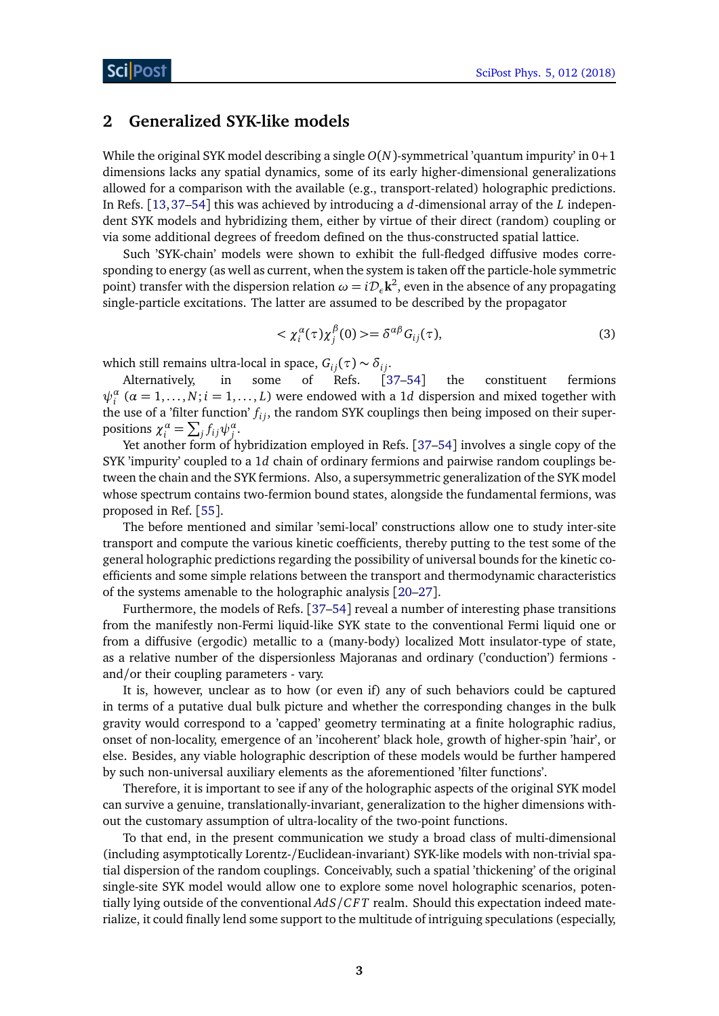## <span id="page-2-0"></span>**2 Generalized SYK-like models**

While the original SYK model describing a single *O*(*N*)-symmetrical 'quantum impurity' in 0+1 dimensions lacks any spatial dynamics, some of its early higher-dimensional generalizations allowed for a comparison with the available (e.g., transport-related) holographic predictions. In Refs. [[13,](#page-16-5)[37](#page-17-3)[–54](#page-18-0)] this was achieved by introducing a *d*-dimensional array of the *L* independent SYK models and hybridizing them, either by virtue of their direct (random) coupling or via some additional degrees of freedom defined on the thus-constructed spatial lattice.

Such 'SYK-chain' models were shown to exhibit the full-fledged diffusive modes corresponding to energy (as well as current, when the system is taken off the particle-hole symmetric point) transfer with the dispersion relation  $\omega = i{\cal D}_\epsilon{\bf k}^2$ , even in the absence of any propagating single-particle excitations. The latter are assumed to be described by the propagator

$$
\langle \chi_i^{\alpha}(\tau) \chi_j^{\beta}(0) \rangle = \delta^{\alpha \beta} G_{ij}(\tau), \tag{3}
$$

which still remains ultra-local in space,  $G_{ij}(\tau) \sim \delta_{ij}$ .

Alternatively, in some of Refs. [[37–](#page-17-3)[54](#page-18-0)] the constituent fermions  $\psi_i^{\alpha}$  ( $\alpha = 1, ..., N; i = 1, ..., L$ ) were endowed with a 1*d* dispersion and mixed together with the use of a 'filter function'  $f_{ij}$ , the random SYK couplings then being imposed on their superpositions  $\chi_i^{\alpha} = \sum_j f_{ij} \psi_j^{\alpha}$ .

Yet another form of hybridization employed in Refs. [[37–](#page-17-3)[54](#page-18-0)] involves a single copy of the SYK 'impurity' coupled to a 1*d* chain of ordinary fermions and pairwise random couplings between the chain and the SYK fermions. Also, a supersymmetric generalization of the SYK model whose spectrum contains two-fermion bound states, alongside the fundamental fermions, was proposed in Ref. [[55](#page-18-1)].

The before mentioned and similar 'semi-local' constructions allow one to study inter-site transport and compute the various kinetic coefficients, thereby putting to the test some of the general holographic predictions regarding the possibility of universal bounds for the kinetic coefficients and some simple relations between the transport and thermodynamic characteristics of the systems amenable to the holographic analysis [[20–](#page-16-4)[27](#page-17-0)].

Furthermore, the models of Refs. [[37](#page-17-3)[–54](#page-18-0)] reveal a number of interesting phase transitions from the manifestly non-Fermi liquid-like SYK state to the conventional Fermi liquid one or from a diffusive (ergodic) metallic to a (many-body) localized Mott insulator-type of state, as a relative number of the dispersionless Majoranas and ordinary ('conduction') fermions and/or their coupling parameters - vary.

It is, however, unclear as to how (or even if) any of such behaviors could be captured in terms of a putative dual bulk picture and whether the corresponding changes in the bulk gravity would correspond to a 'capped' geometry terminating at a finite holographic radius, onset of non-locality, emergence of an 'incoherent' black hole, growth of higher-spin 'hair', or else. Besides, any viable holographic description of these models would be further hampered by such non-universal auxiliary elements as the aforementioned 'filter functions'.

Therefore, it is important to see if any of the holographic aspects of the original SYK model can survive a genuine, translationally-invariant, generalization to the higher dimensions without the customary assumption of ultra-locality of the two-point functions.

To that end, in the present communication we study a broad class of multi-dimensional (including asymptotically Lorentz-/Euclidean-invariant) SYK-like models with non-trivial spatial dispersion of the random couplings. Conceivably, such a spatial 'thickening' of the original single-site SYK model would allow one to explore some novel holographic scenarios, potentially lying outside of the conventional *AdS/C F T* realm. Should this expectation indeed materialize, it could finally lend some support to the multitude of intriguing speculations (especially,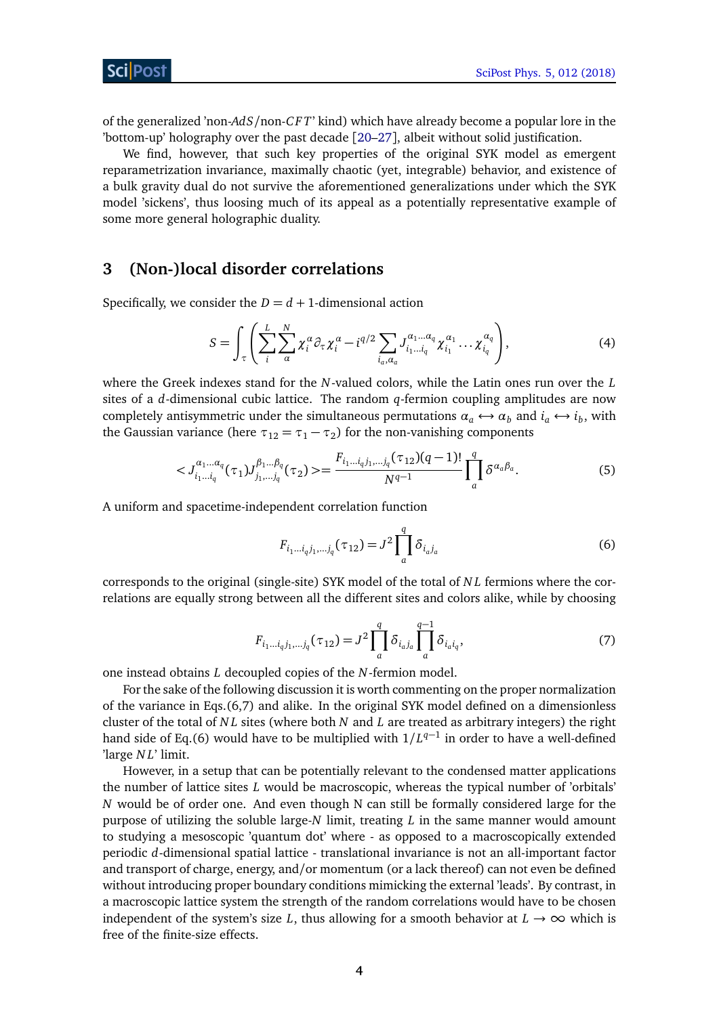of the generalized 'non-*AdS*/non-*C F T*' kind) which have already become a popular lore in the 'bottom-up' holography over the past decade [[20–](#page-16-4)[27](#page-17-0)], albeit without solid justification.

We find, however, that such key properties of the original SYK model as emergent reparametrization invariance, maximally chaotic (yet, integrable) behavior, and existence of a bulk gravity dual do not survive the aforementioned generalizations under which the SYK model 'sickens', thus loosing much of its appeal as a potentially representative example of some more general holographic duality.

### <span id="page-3-0"></span>**3 (Non-)local disorder correlations**

Specifically, we consider the  $D = d + 1$ -dimensional action

$$
S = \int_{\tau} \left( \sum_{i}^{L} \sum_{\alpha}^{N} \chi_i^{\alpha} \partial_{\tau} \chi_i^{\alpha} - i^{q/2} \sum_{i_a, \alpha_a} J_{i_1 \dots i_q}^{\alpha_1 \dots \alpha_q} \chi_{i_1}^{\alpha_1} \dots \chi_{i_q}^{\alpha_q} \right), \tag{4}
$$

where the Greek indexes stand for the *N*-valued colors, while the Latin ones run over the *L* sites of a *d*-dimensional cubic lattice. The random *q*-fermion coupling amplitudes are now completely antisymmetric under the simultaneous permutations  $\alpha_a \leftrightarrow \alpha_b$  and  $i_a \leftrightarrow i_b$ , with the Gaussian variance (here  $\tau_{12} = \tau_1 - \tau_2$ ) for the non-vanishing components

$$
\langle J_{i_1...i_q}^{a_1...a_q}(\tau_1)J_{j_1,...j_q}^{\beta_1...\beta_q}(\tau_2)\rangle = \frac{F_{i_1...i_qj_1,...j_q}(\tau_{12})(q-1)!}{N^{q-1}}\prod_{a}^{q} \delta^{\alpha_a\beta_a}.
$$
 (5)

A uniform and spacetime-independent correlation function

$$
F_{i_1...i_qj_1,...j_q}(\tau_{12}) = J^2 \prod_a^q \delta_{i_a j_a}
$$
 (6)

corresponds to the original (single-site) SYK model of the total of *N L* fermions where the correlations are equally strong between all the different sites and colors alike, while by choosing

$$
F_{i_1...i_qj_1,...j_q}(\tau_{12}) = J^2 \prod_a^q \delta_{i_a j_a} \prod_a^{q-1} \delta_{i_a i_q},
$$
\n(7)

one instead obtains *L* decoupled copies of the *N*-fermion model.

For the sake of the following discussion it is worth commenting on the proper normalization of the variance in Eqs.(6,7) and alike. In the original SYK model defined on a dimensionless cluster of the total of *N L* sites (where both *N* and *L* are treated as arbitrary integers) the right hand side of Eq.(6) would have to be multiplied with  $1/L^{q-1}$  in order to have a well-defined 'large *N L*' limit.

However, in a setup that can be potentially relevant to the condensed matter applications the number of lattice sites *L* would be macroscopic, whereas the typical number of 'orbitals' *N* would be of order one. And even though N can still be formally considered large for the purpose of utilizing the soluble large-*N* limit, treating *L* in the same manner would amount to studying a mesoscopic 'quantum dot' where - as opposed to a macroscopically extended periodic *d*-dimensional spatial lattice - translational invariance is not an all-important factor and transport of charge, energy, and/or momentum (or a lack thereof) can not even be defined without introducing proper boundary conditions mimicking the external 'leads'. By contrast, in a macroscopic lattice system the strength of the random correlations would have to be chosen independent of the system's size *L*, thus allowing for a smooth behavior at  $L \rightarrow \infty$  which is free of the finite-size effects.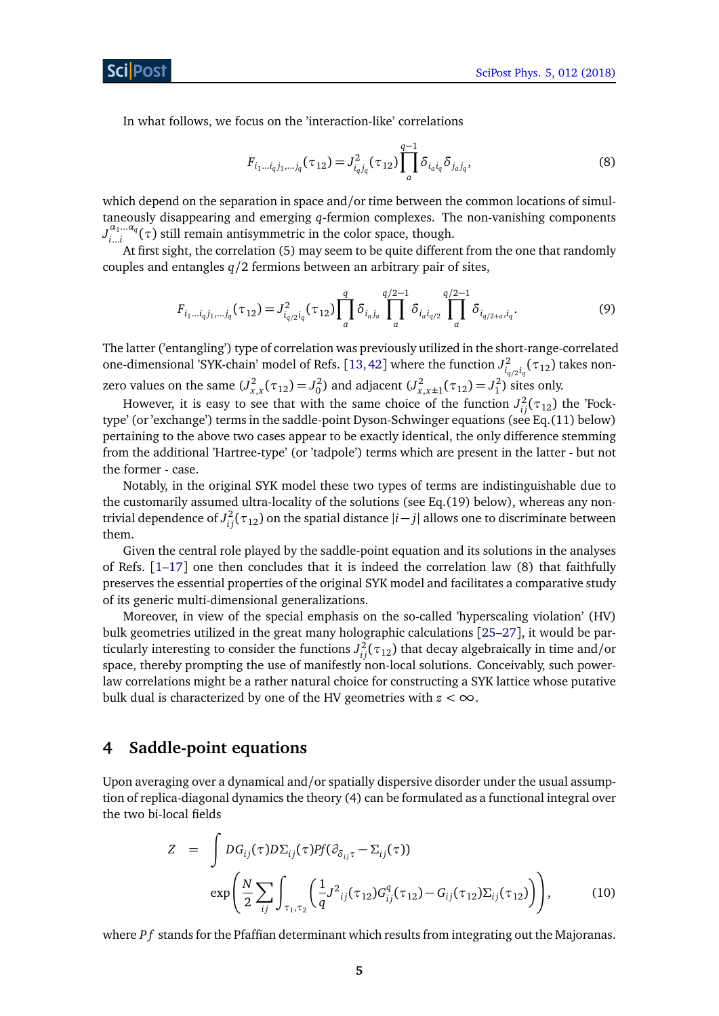In what follows, we focus on the 'interaction-like' correlations

$$
F_{i_1\ldots i_qj_1,\ldots j_q}(\tau_{12}) = J_{i_qj_q}^2(\tau_{12}) \prod_{a}^{q-1} \delta_{i_a i_q} \delta_{j_a j_q},\tag{8}
$$

which depend on the separation in space and/or time between the common locations of simultaneously disappearing and emerging *q*-fermion complexes. The non-vanishing components  $J_i^{\alpha_1 \dots \alpha_q}$ *i*...*i* (*τ*) still remain antisymmetric in the color space, though.

At first sight, the correlation (5) may seem to be quite different from the one that randomly couples and entangles *q/*2 fermions between an arbitrary pair of sites,

$$
F_{i_1\ldots i_q j_1,\ldots j_q}(\tau_{12}) = J_{i_q/2}^2 i_q(\tau_{12}) \prod_q^q \delta_{i_q j_q} \prod_q^{q/2-1} \delta_{i_q i_{q/2}} \prod_q^{q/2-1} \delta_{i_{q/2+a}, i_q}.
$$
\n
$$
(9)
$$

The latter ('entangling') type of correlation was previously utilized in the short-range-correlated one-dimensional 'SYK-chain' model of Refs. [[13,](#page-16-5)[42](#page-17-4)] where the function  $J^2_{i_q/2}i_q(\tau_{12})$  takes nonzero values on the same  $(J_{x,x}^2(\tau_{12}) = J_0^2)$  and adjacent  $(J_{x,x\pm 1}^2(\tau_{12}) = J_1^2)$  sites only.

However, it is easy to see that with the same choice of the function  $J_{ij}^2(\tau_{12})$  the 'Focktype' (or 'exchange') terms in the saddle-point Dyson-Schwinger equations (see Eq.(11) below) pertaining to the above two cases appear to be exactly identical, the only difference stemming from the additional 'Hartree-type' (or 'tadpole') terms which are present in the latter - but not the former - case.

Notably, in the original SYK model these two types of terms are indistinguishable due to the customarily assumed ultra-locality of the solutions (see Eq.(19) below), whereas any nontrivial dependence of  $J_{ij}^2(\tau_{12})$  on the spatial distance  $|i-j|$  allows one to discriminate between them.

Given the central role played by the saddle-point equation and its solutions in the analyses of Refs.  $[1-17]$  $[1-17]$  $[1-17]$  one then concludes that it is indeed the correlation law (8) that faithfully preserves the essential properties of the original SYK model and facilitates a comparative study of its generic multi-dimensional generalizations.

Moreover, in view of the special emphasis on the so-called 'hyperscaling violation' (HV) bulk geometries utilized in the great many holographic calculations [[25–](#page-16-6)[27](#page-17-0)], it would be particularly interesting to consider the functions  $J_{ij}^2(\tau_{12})$  that decay algebraically in time and/or space, thereby prompting the use of manifestly non-local solutions. Conceivably, such powerlaw correlations might be a rather natural choice for constructing a SYK lattice whose putative bulk dual is characterized by one of the HV geometries with  $z < \infty$ .

## <span id="page-4-0"></span>**4 Saddle-point equations**

Upon averaging over a dynamical and/or spatially dispersive disorder under the usual assumption of replica-diagonal dynamics the theory (4) can be formulated as a functional integral over the two bi-local fields

$$
Z = \int DG_{ij}(\tau) D\Sigma_{ij}(\tau) Pf(\partial_{\delta_{ij}\tau} - \Sigma_{ij}(\tau))
$$
  
\n
$$
\exp\left(\frac{N}{2} \sum_{ij} \int_{\tau_1, \tau_2} \left(\frac{1}{q} J^2_{ij}(\tau_{12}) G_{ij}^q(\tau_{12}) - G_{ij}(\tau_{12}) \Sigma_{ij}(\tau_{12})\right)\right),
$$
\n(10)

where *Pf* stands for the Pfaffian determinant which results from integrating out the Majoranas.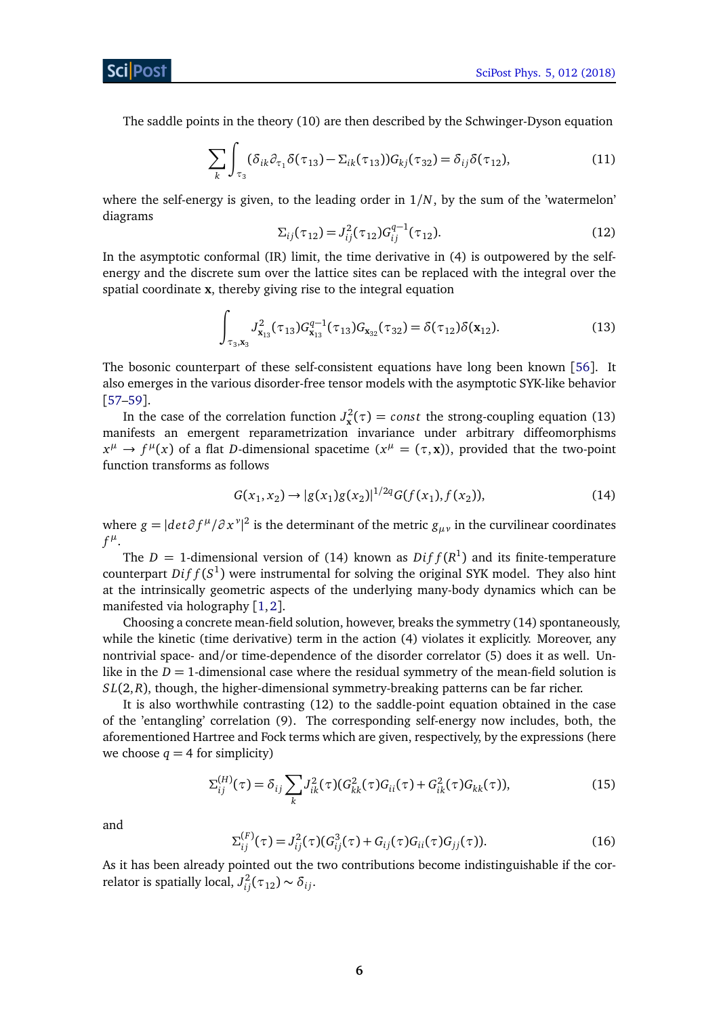The saddle points in the theory (10) are then described by the Schwinger-Dyson equation

$$
\sum_{k} \int_{\tau_3} (\delta_{ik} \partial_{\tau_1} \delta(\tau_{13}) - \Sigma_{ik}(\tau_{13})) G_{kj}(\tau_{32}) = \delta_{ij} \delta(\tau_{12}), \tag{11}
$$

where the self-energy is given, to the leading order in 1*/N*, by the sum of the 'watermelon' diagrams

$$
\Sigma_{ij}(\tau_{12}) = J_{ij}^2(\tau_{12}) G_{ij}^{q-1}(\tau_{12}).
$$
\n(12)

In the asymptotic conformal (IR) limit, the time derivative in (4) is outpowered by the selfenergy and the discrete sum over the lattice sites can be replaced with the integral over the spatial coordinate **x**, thereby giving rise to the integral equation

$$
\int_{\tau_3, \mathbf{x}_3} J_{\mathbf{x}_{13}}^2(\tau_{13}) G_{\mathbf{x}_{13}}^{q-1}(\tau_{13}) G_{\mathbf{x}_{32}}(\tau_{32}) = \delta(\tau_{12}) \delta(\mathbf{x}_{12}). \tag{13}
$$

The bosonic counterpart of these self-consistent equations have long been known [[56](#page-18-2)]. It also emerges in the various disorder-free tensor models with the asymptotic SYK-like behavior [[57](#page-18-3)[–59](#page-18-4)].

In the case of the correlation function  $J_x^2(\tau) = const$  the strong-coupling equation (13) manifests an emergent reparametrization invariance under arbitrary diffeomorphisms  $x^{\mu} \to f^{\mu}(x)$  of a flat *D*-dimensional spacetime  $(x^{\mu} = (\tau, x))$ , provided that the two-point function transforms as follows

$$
G(x_1, x_2) \to |g(x_1)g(x_2)|^{1/2q} G(f(x_1), f(x_2)), \tag{14}
$$

where  $g = |det \partial f^{\mu}/\partial x^{\nu}|^2$  is the determinant of the metric  $g_{\mu\nu}$  in the curvilinear coordinates  $f^{\mu}$ .

The  $D = 1$ -dimensional version of (14) known as  $Diff(R^1)$  and its finite-temperature counterpart  $Diff(S^1)$  were instrumental for solving the original SYK model. They also hint at the intrinsically geometric aspects of the underlying many-body dynamics which can be manifested via holography  $[1,2]$  $[1,2]$  $[1,2]$  $[1,2]$ .

Choosing a concrete mean-field solution, however, breaks the symmetry (14) spontaneously, while the kinetic (time derivative) term in the action (4) violates it explicitly. Moreover, any nontrivial space- and/or time-dependence of the disorder correlator (5) does it as well. Unlike in the  $D = 1$ -dimensional case where the residual symmetry of the mean-field solution is *S L*(2,*R*), though, the higher-dimensional symmetry-breaking patterns can be far richer.

It is also worthwhile contrasting (12) to the saddle-point equation obtained in the case of the 'entangling' correlation (9). The corresponding self-energy now includes, both, the aforementioned Hartree and Fock terms which are given, respectively, by the expressions (here we choose  $q = 4$  for simplicity)

$$
\Sigma_{ij}^{(H)}(\tau) = \delta_{ij} \sum_{k} J_{ik}^2(\tau) (G_{kk}^2(\tau) G_{ii}(\tau) + G_{ik}^2(\tau) G_{kk}(\tau)),
$$
\n(15)

and

$$
\Sigma_{ij}^{(F)}(\tau) = J_{ij}^2(\tau) (G_{ij}^3(\tau) + G_{ij}(\tau) G_{ii}(\tau) G_{jj}(\tau)).
$$
\n(16)

As it has been already pointed out the two contributions become indistinguishable if the correlator is spatially local,  $J_{ij}^2(\tau_{12}) \sim \delta_{ij}$ .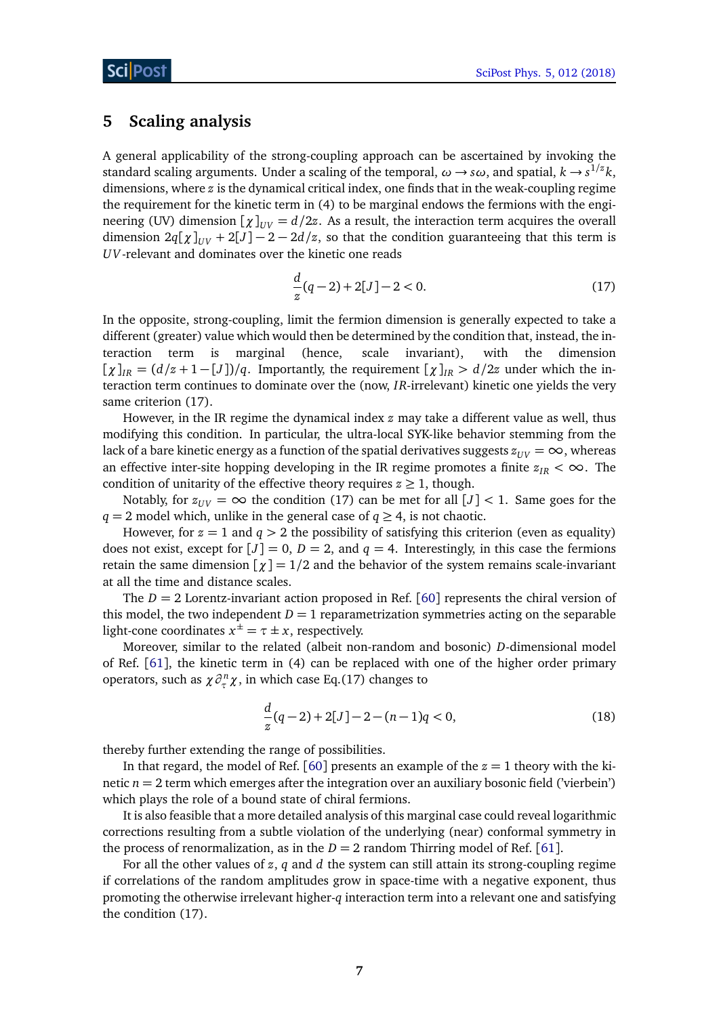## <span id="page-6-0"></span>**5 Scaling analysis**

A general applicability of the strong-coupling approach can be ascertained by invoking the standard scaling arguments. Under a scaling of the temporal,  $\omega \to s \omega$ , and spatial,  $k \to s^{1/z} k$ , dimensions, where *z* is the dynamical critical index, one finds that in the weak-coupling regime the requirement for the kinetic term in (4) to be marginal endows the fermions with the engineering (UV) dimension  $[\chi]_{UV} = d/2z$ . As a result, the interaction term acquires the overall dimension  $2q[\chi]_{UV} + 2[J] - 2 - 2d/z$ , so that the condition guaranteeing that this term is *UV*-relevant and dominates over the kinetic one reads

$$
\frac{d}{z}(q-2) + 2[J] - 2 < 0. \tag{17}
$$

In the opposite, strong-coupling, limit the fermion dimension is generally expected to take a different (greater) value which would then be determined by the condition that, instead, the interaction term is marginal (hence, scale invariant), with the dimension  $[\chi]_{IR} = (d/z + 1 - [J])/q$ . Importantly, the requirement  $[\chi]_{IR} > d/2z$  under which the interaction term continues to dominate over the (now, *IR*-irrelevant) kinetic one yields the very same criterion (17).

However, in the IR regime the dynamical index *z* may take a different value as well, thus modifying this condition. In particular, the ultra-local SYK-like behavior stemming from the lack of a bare kinetic energy as a function of the spatial derivatives suggests  $z_{UV} = \infty$ , whereas an effective inter-site hopping developing in the IR regime promotes a finite  $z_{IR} < \infty$ . The condition of unitarity of the effective theory requires  $z \geq 1$ , though.

Notably, for  $z_{UV} = \infty$  the condition (17) can be met for all  $[J] < 1$ . Same goes for the *q* = 2 model which, unlike in the general case of *q*  $\geq$  4, is not chaotic.

However, for  $z = 1$  and  $q > 2$  the possibility of satisfying this criterion (even as equality) does not exist, except for  $[J] = 0$ ,  $D = 2$ , and  $q = 4$ . Interestingly, in this case the fermions retain the same dimension  $\left[\chi\right] = 1/2$  and the behavior of the system remains scale-invariant at all the time and distance scales.

The  $D = 2$  Lorentz-invariant action proposed in Ref. [[60](#page-18-5)] represents the chiral version of this model, the two independent  $D = 1$  reparametrization symmetries acting on the separable light-cone coordinates  $x^{\pm} = \tau \pm x$ , respectively.

Moreover, similar to the related (albeit non-random and bosonic) *D*-dimensional model of Ref. [[61](#page-18-6)], the kinetic term in (4) can be replaced with one of the higher order primary operators, such as  $\chi \partial_{\tau}^n \chi$ , in which case Eq.(17) changes to

$$
\frac{d}{z}(q-2) + 2[J] - 2 - (n-1)q < 0,\tag{18}
$$

thereby further extending the range of possibilities.

In that regard, the model of Ref. [[60](#page-18-5)] presents an example of the  $z = 1$  theory with the kinetic *n* = 2 term which emerges after the integration over an auxiliary bosonic field ('vierbein') which plays the role of a bound state of chiral fermions.

It is also feasible that a more detailed analysis of this marginal case could reveal logarithmic corrections resulting from a subtle violation of the underlying (near) conformal symmetry in the process of renormalization, as in the  $D = 2$  random Thirring model of Ref. [[61](#page-18-6)].

For all the other values of *z*, *q* and *d* the system can still attain its strong-coupling regime if correlations of the random amplitudes grow in space-time with a negative exponent, thus promoting the otherwise irrelevant higher-*q* interaction term into a relevant one and satisfying the condition (17).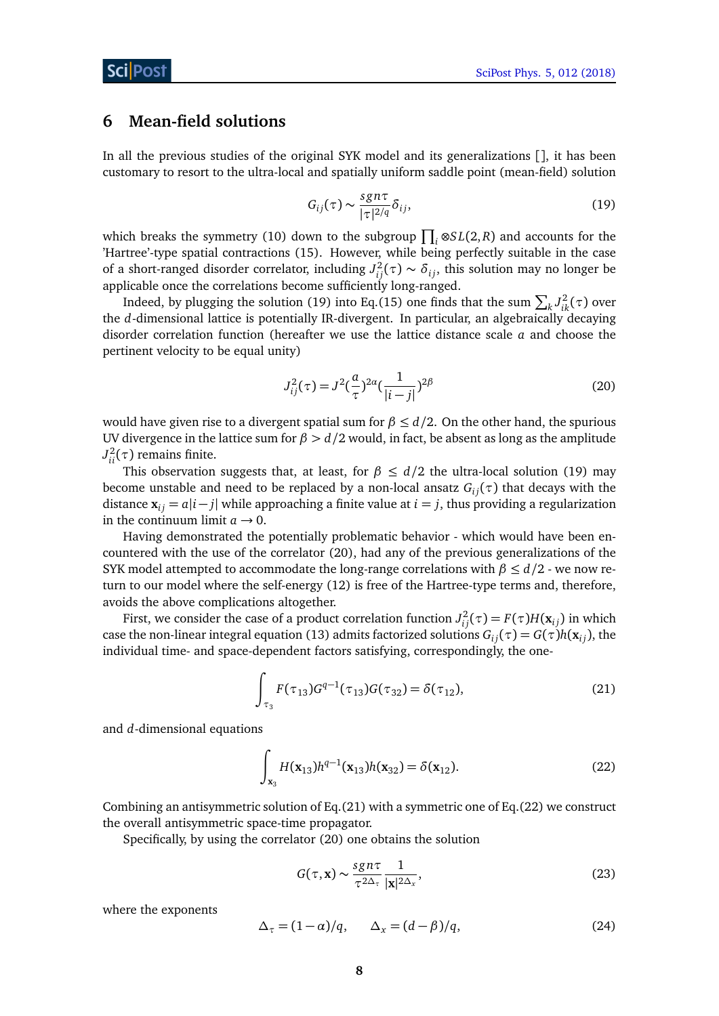### <span id="page-7-0"></span>**6 Mean-field solutions**

In all the previous studies of the original SYK model and its generalizations [], it has been customary to resort to the ultra-local and spatially uniform saddle point (mean-field) solution

$$
G_{ij}(\tau) \sim \frac{sgn\tau}{|\tau|^{2/q}} \delta_{ij},\tag{19}
$$

which breaks the symmetry (10) down to the subgroup  $\prod_i \otimes SL(2,R)$  and accounts for the 'Hartree'-type spatial contractions (15). However, while being perfectly suitable in the case of a short-ranged disorder correlator, including  $J_{ij}^2(\tau) \sim \delta_{ij}$ , this solution may no longer be applicable once the correlations become sufficiently long-ranged.

Indeed, by plugging the solution (19) into Eq.(15) one finds that the sum  $\sum_{k} J_{ik}^2(\tau)$  over the *d*-dimensional lattice is potentially IR-divergent. In particular, an algebraically decaying disorder correlation function (hereafter we use the lattice distance scale *a* and choose the pertinent velocity to be equal unity)

$$
J_{ij}^{2}(\tau) = J^{2}(\frac{a}{\tau})^{2\alpha}(\frac{1}{|i-j|})^{2\beta}
$$
\n(20)

would have given rise to a divergent spatial sum for  $\beta \leq d/2$ . On the other hand, the spurious UV divergence in the lattice sum for  $\beta > d/2$  would, in fact, be absent as long as the amplitude  $J_{ii}^2(\tau)$  remains finite.

This observation suggests that, at least, for *β* ≤ *d/*2 the ultra-local solution (19) may become unstable and need to be replaced by a non-local ansatz  $G_{ij}(\tau)$  that decays with the distance  $\mathbf{x}_{ij} = a|i - j|$  while approaching a finite value at  $i = j$ , thus providing a regularization in the continuum limit  $a \rightarrow 0$ .

Having demonstrated the potentially problematic behavior - which would have been encountered with the use of the correlator (20), had any of the previous generalizations of the SYK model attempted to accommodate the long-range correlations with  $\beta \leq d/2$  - we now return to our model where the self-energy (12) is free of the Hartree-type terms and, therefore, avoids the above complications altogether.

First, we consider the case of a product correlation function  $J_{ij}^2(\tau) = F(\tau)H(\mathbf{x}_{ij})$  in which case the non-linear integral equation (13) admits factorized solutions  $G_{ij}(\tau) = G(\tau)h(\mathbf{x}_{ij})$ , the individual time- and space-dependent factors satisfying, correspondingly, the one-

$$
\int_{\tau_3} F(\tau_{13}) G^{q-1}(\tau_{13}) G(\tau_{32}) = \delta(\tau_{12}), \tag{21}
$$

and *d*-dimensional equations

$$
\int_{\mathbf{x}_3} H(\mathbf{x}_{13}) h^{q-1}(\mathbf{x}_{13}) h(\mathbf{x}_{32}) = \delta(\mathbf{x}_{12}).
$$
\n(22)

Combining an antisymmetric solution of Eq.(21) with a symmetric one of Eq.(22) we construct the overall antisymmetric space-time propagator.

Specifically, by using the correlator (20) one obtains the solution

$$
G(\tau, \mathbf{x}) \sim \frac{sgn\tau}{\tau^{2\Delta_{\tau}}} \frac{1}{|\mathbf{x}|^{2\Delta_{x}}},
$$
\n(23)

where the exponents

$$
\Delta_{\tau} = (1 - \alpha)/q, \qquad \Delta_{x} = (d - \beta)/q, \tag{24}
$$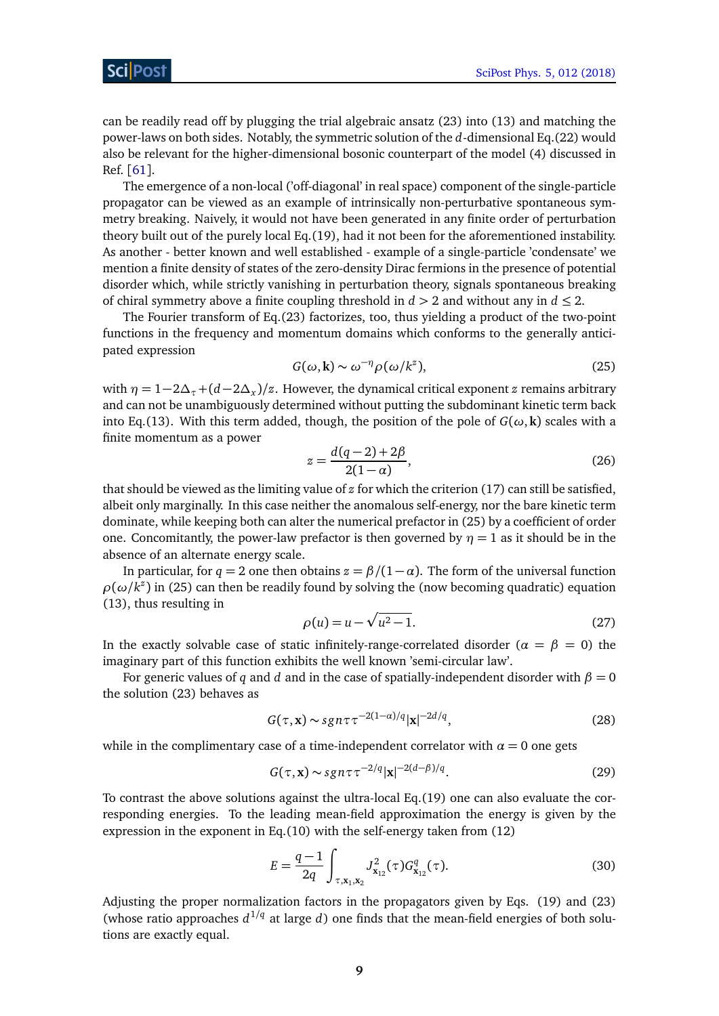can be readily read off by plugging the trial algebraic ansatz (23) into (13) and matching the power-laws on both sides. Notably, the symmetric solution of the *d*-dimensional Eq.(22) would also be relevant for the higher-dimensional bosonic counterpart of the model (4) discussed in Ref. [[61](#page-18-6)].

The emergence of a non-local ('off-diagonal' in real space) component of the single-particle propagator can be viewed as an example of intrinsically non-perturbative spontaneous symmetry breaking. Naively, it would not have been generated in any finite order of perturbation theory built out of the purely local Eq.(19), had it not been for the aforementioned instability. As another - better known and well established - example of a single-particle 'condensate' we mention a finite density of states of the zero-density Dirac fermions in the presence of potential disorder which, while strictly vanishing in perturbation theory, signals spontaneous breaking of chiral symmetry above a finite coupling threshold in *d >* 2 and without any in *d* ≤ 2.

The Fourier transform of Eq.(23) factorizes, too, thus yielding a product of the two-point functions in the frequency and momentum domains which conforms to the generally anticipated expression

$$
G(\omega, \mathbf{k}) \sim \omega^{-\eta} \rho(\omega/k^z), \tag{25}
$$

with  $\eta = 1-2\Delta_{\tau} + (d-2\Delta_{x})/z$ . However, the dynamical critical exponent *z* remains arbitrary and can not be unambiguously determined without putting the subdominant kinetic term back into Eq.(13). With this term added, though, the position of the pole of  $G(\omega, \mathbf{k})$  scales with a finite momentum as a power

$$
z = \frac{d(q-2) + 2\beta}{2(1-\alpha)},
$$
\n(26)

that should be viewed as the limiting value of *z* for which the criterion (17) can still be satisfied, albeit only marginally. In this case neither the anomalous self-energy, nor the bare kinetic term dominate, while keeping both can alter the numerical prefactor in (25) by a coefficient of order one. Concomitantly, the power-law prefactor is then governed by  $\eta = 1$  as it should be in the absence of an alternate energy scale.

In particular, for  $q = 2$  one then obtains  $z = \beta/(1 - \alpha)$ . The form of the universal function  $\rho(\omega/k^z)$  in (25) can then be readily found by solving the (now becoming quadratic) equation (13), thus resulting in

$$
\rho(u) = u - \sqrt{u^2 - 1}.
$$
\n(27)

In the exactly solvable case of static infinitely-range-correlated disorder ( $\alpha = \beta = 0$ ) the imaginary part of this function exhibits the well known 'semi-circular law'.

For generic values of *q* and *d* and in the case of spatially-independent disorder with  $\beta = 0$ the solution (23) behaves as

$$
G(\tau, \mathbf{x}) \sim sgn\tau \tau^{-2(1-\alpha)/q} |\mathbf{x}|^{-2d/q},\tag{28}
$$

while in the complimentary case of a time-independent correlator with  $\alpha = 0$  one gets

$$
G(\tau, \mathbf{x}) \sim sgn \tau \tau^{-2/q} |\mathbf{x}|^{-2(d-\beta)/q}.
$$
 (29)

To contrast the above solutions against the ultra-local Eq.(19) one can also evaluate the corresponding energies. To the leading mean-field approximation the energy is given by the expression in the exponent in Eq.(10) with the self-energy taken from (12)

$$
E = \frac{q-1}{2q} \int_{\tau, \mathbf{x}_1, \mathbf{x}_2} J_{\mathbf{x}_{12}}^2(\tau) G_{\mathbf{x}_{12}}^q(\tau).
$$
 (30)

Adjusting the proper normalization factors in the propagators given by Eqs. (19) and (23) (whose ratio approaches  $d^{1/q}$  at large *d*) one finds that the mean-field energies of both solutions are exactly equal.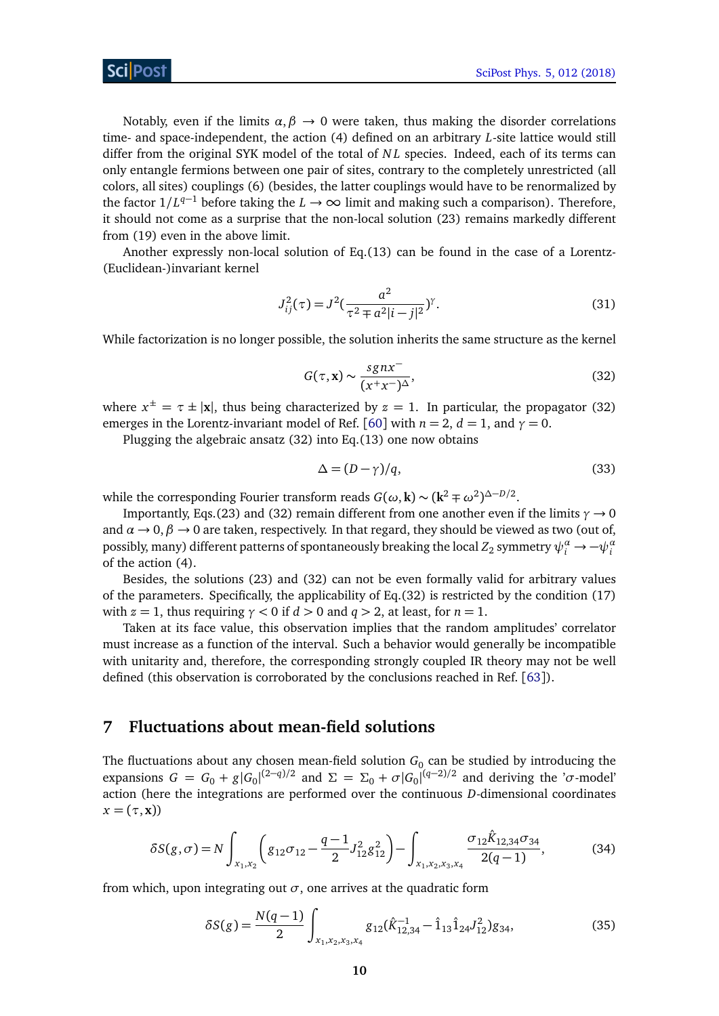Notably, even if the limits  $\alpha, \beta \rightarrow 0$  were taken, thus making the disorder correlations time- and space-independent, the action (4) defined on an arbitrary *L*-site lattice would still differ from the original SYK model of the total of *N L* species. Indeed, each of its terms can only entangle fermions between one pair of sites, contrary to the completely unrestricted (all colors, all sites) couplings (6) (besides, the latter couplings would have to be renormalized by the factor  $1/L^{q-1}$  before taking the *L* → ∞ limit and making such a comparison). Therefore, it should not come as a surprise that the non-local solution (23) remains markedly different from (19) even in the above limit.

Another expressly non-local solution of Eq.(13) can be found in the case of a Lorentz- (Euclidean-)invariant kernel

$$
J_{ij}^{2}(\tau) = J^{2}(\frac{a^{2}}{\tau^{2} \pm a^{2}|i-j|^{2}})^{\gamma}.
$$
 (31)

While factorization is no longer possible, the solution inherits the same structure as the kernel

$$
G(\tau, \mathbf{x}) \sim \frac{sgn\tau}{(x^+x^-)^{\Delta}},\tag{32}
$$

where  $x^{\pm} = \tau \pm |\mathbf{x}|$ , thus being characterized by  $z = 1$ . In particular, the propagator (32) emerges in the Lorentz-invariant model of Ref. [[60](#page-18-5)] with  $n = 2$ ,  $d = 1$ , and  $\gamma = 0$ .

Plugging the algebraic ansatz (32) into Eq.(13) one now obtains

$$
\Delta = (D - \gamma)/q,\tag{33}
$$

while the corresponding Fourier transform reads  $G(\omega, \mathbf{k}) \sim (\mathbf{k}^2 \mp \omega^2)^{\Delta - D/2}$ .

Importantly, Eqs.(23) and (32) remain different from one another even if the limits  $\gamma \rightarrow 0$ and  $\alpha \rightarrow 0$ ,  $\beta \rightarrow 0$  are taken, respectively. In that regard, they should be viewed as two (out of, possibly, many) different patterns of spontaneously breaking the local  $Z_2$  symmetry  $\psi_i^a\to -\psi_i^a$ of the action (4).

Besides, the solutions (23) and (32) can not be even formally valid for arbitrary values of the parameters. Specifically, the applicability of Eq.(32) is restricted by the condition (17) with  $z = 1$ , thus requiring  $\gamma < 0$  if  $d > 0$  and  $q > 2$ , at least, for  $n = 1$ .

Taken at its face value, this observation implies that the random amplitudes' correlator must increase as a function of the interval. Such a behavior would generally be incompatible with unitarity and, therefore, the corresponding strongly coupled IR theory may not be well defined (this observation is corroborated by the conclusions reached in Ref. [[63](#page-19-0)]).

#### <span id="page-9-0"></span>**7 Fluctuations about mean-field solutions**

The fluctuations about any chosen mean-field solution  $G_0$  can be studied by introducing the expansions  $G = G_0 + g|G_0|^{(2-q)/2}$  and  $\Sigma = \Sigma_0 + \sigma|G_0|^{(q-2)/2}$  and deriving the '*σ*-model' action (here the integrations are performed over the continuous *D*-dimensional coordinates  $x = (\tau, \mathbf{x})$ 

$$
\delta S(g,\sigma) = N \int_{x_1,x_2} \left( g_{12}\sigma_{12} - \frac{q-1}{2} J_{12}^2 g_{12}^2 \right) - \int_{x_1,x_2,x_3,x_4} \frac{\sigma_{12} \hat{K}_{12,34}\sigma_{34}}{2(q-1)},
$$
(34)

from which, upon integrating out  $\sigma$ , one arrives at the quadratic form

$$
\delta S(g) = \frac{N(q-1)}{2} \int_{x_1, x_2, x_3, x_4} g_{12}(\hat{K}_{12,34}^{-1} - \hat{1}_{13} \hat{1}_{24} J_{12}^2) g_{34},
$$
\n(35)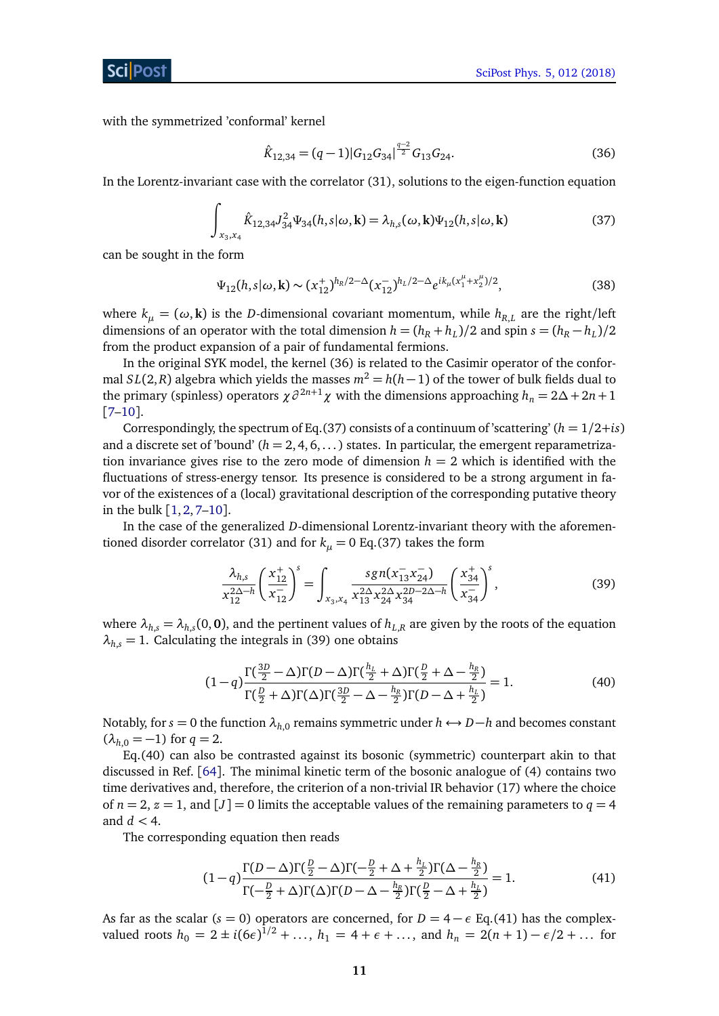with the symmetrized 'conformal' kernel

$$
\hat{K}_{12,34} = (q-1)|G_{12}G_{34}|^{\frac{q-2}{2}}G_{13}G_{24}.
$$
\n(36)

In the Lorentz-invariant case with the correlator (31), solutions to the eigen-function equation

$$
\int_{x_3, x_4} \hat{K}_{12,34} J_{34}^2 \Psi_{34}(h, s | \omega, \mathbf{k}) = \lambda_{h,s}(\omega, \mathbf{k}) \Psi_{12}(h, s | \omega, \mathbf{k})
$$
\n(37)

can be sought in the form

$$
\Psi_{12}(h, s | \omega, \mathbf{k}) \sim (x_{12}^+)^{h_R/2 - \Delta} (x_{12}^-)^{h_L/2 - \Delta} e^{ik_\mu (x_1^\mu + x_2^\mu)/2}, \tag{38}
$$

where  $k_{\mu} = (\omega, \mathbf{k})$  is the *D*-dimensional covariant momentum, while  $h_{R,L}$  are the right/left dimensions of an operator with the total dimension  $h = (h_R + h_L)/2$  and spin  $s = (h_R - h_L)/2$ from the product expansion of a pair of fundamental fermions.

In the original SYK model, the kernel (36) is related to the Casimir operator of the conformal *SL*(2,*R*) algebra which yields the masses  $m^2 = h(h-1)$  of the tower of bulk fields dual to the primary (spinless) operators  $\chi \partial^{2n+1} \chi$  with the dimensions approaching  $h_n = 2\Delta + 2n + 1$ [[7](#page-16-0)[–10](#page-16-7)].

Correspondingly, the spectrum of Eq.(37) consists of a continuum of 'scattering' ( $h = 1/2 + i$ s) and a discrete set of 'bound'  $(h = 2, 4, 6, ...)$  states. In particular, the emergent reparametrization invariance gives rise to the zero mode of dimension  $h = 2$  which is identified with the fluctuations of stress-energy tensor. Its presence is considered to be a strong argument in favor of the existences of a (local) gravitational description of the corresponding putative theory in the bulk  $[1, 2, 7-10]$  $[1, 2, 7-10]$  $[1, 2, 7-10]$  $[1, 2, 7-10]$  $[1, 2, 7-10]$  $[1, 2, 7-10]$  $[1, 2, 7-10]$ .

In the case of the generalized *D*-dimensional Lorentz-invariant theory with the aforementioned disorder correlator (31) and for  $k_{\mu} = 0$  Eq.(37) takes the form

$$
\frac{\lambda_{h,s}}{x_{12}^{2\Delta-h}} \left(\frac{x_{12}^+}{x_{12}^-}\right)^s = \int_{x_3, x_4} \frac{sgn(x_{13}^- x_{24}^-)}{x_{13}^{2\Delta} x_{24}^{2\Delta} x_{34}^{2D-2\Delta-h}} \left(\frac{x_{34}^+}{x_{34}^-}\right)^s, \tag{39}
$$

where  $\lambda_{h,s} = \lambda_{h,s}(0,\mathbf{0})$ , and the pertinent values of  $h_{L,R}$  are given by the roots of the equation  $\lambda_{h,s}$  = 1. Calculating the integrals in (39) one obtains

$$
(1-q)\frac{\Gamma(\frac{3D}{2}-\Delta)\Gamma(D-\Delta)\Gamma(\frac{h_L}{2}+\Delta)\Gamma(\frac{D}{2}+\Delta-\frac{h_R}{2})}{\Gamma(\frac{D}{2}+\Delta)\Gamma(\Delta)\Gamma(\frac{3D}{2}-\Delta-\frac{h_R}{2})\Gamma(D-\Delta+\frac{h_L}{2})}=1.
$$
\n(40)

Notably, for *s* = 0 the function  $\lambda_{h,0}$  remains symmetric under  $h$  ← *D*−*h* and becomes constant  $(\lambda_{h,0} = -1)$  for  $q = 2$ .

Eq.(40) can also be contrasted against its bosonic (symmetric) counterpart akin to that discussed in Ref. [[64](#page-19-1)]. The minimal kinetic term of the bosonic analogue of (4) contains two time derivatives and, therefore, the criterion of a non-trivial IR behavior (17) where the choice of  $n = 2$ ,  $z = 1$ , and  $[J] = 0$  limits the acceptable values of the remaining parameters to  $q = 4$ and  $d < 4$ .

The corresponding equation then reads

$$
(1-q)\frac{\Gamma(D-\Delta)\Gamma(\frac{D}{2}-\Delta)\Gamma(-\frac{D}{2}+\Delta+\frac{h_L}{2})\Gamma(\Delta-\frac{h_R}{2})}{\Gamma(-\frac{D}{2}+\Delta)\Gamma(\Delta)\Gamma(D-\Delta-\frac{h_R}{2})\Gamma(\frac{D}{2}-\Delta+\frac{h_L}{2})}=1.
$$
\n(41)

As far as the scalar ( $s = 0$ ) operators are concerned, for  $D = 4 - \epsilon$  Eq.(41) has the complexvalued roots  $h_0 = 2 \pm i(6\epsilon)^{1/2} + ...$ ,  $h_1 = 4 + \epsilon + ...$ , and  $h_n = 2(n + 1) - \epsilon/2 + ...$  for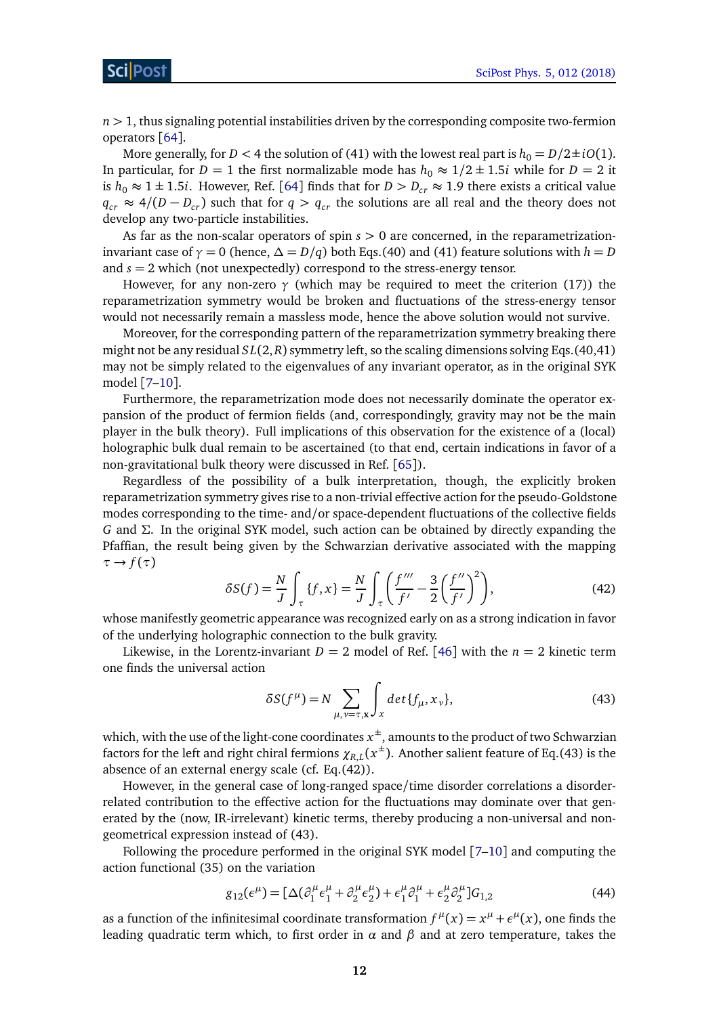$n \geq 1$ , thus signaling potential instabilities driven by the corresponding composite two-fermion operators [[64](#page-19-1)].

More generally, for *D* < 4 the solution of (41) with the lowest real part is  $h_0 = D/2 \pm iO(1)$ . In particular, for *D* = 1 the first normalizable mode has  $h_0 \approx 1/2 \pm 1.5i$  while for *D* = 2 it is  $h_0 \approx 1 \pm 1.5i$ . However, Ref. [[64](#page-19-1)] finds that for  $D > D_{cr} \approx 1.9$  there exists a critical value *q*<sub>cr</sub> ≈ 4/(*D* − *D*<sub>*cr*</sub>) such that for *q* > *q*<sub>*cr*</sub> the solutions are all real and the theory does not develop any two-particle instabilities.

As far as the non-scalar operators of spin *s >* 0 are concerned, in the reparametrizationinvariant case of  $\gamma = 0$  (hence,  $\Delta = D/q$ ) both Eqs.(40) and (41) feature solutions with  $h = D$ and  $s = 2$  which (not unexpectedly) correspond to the stress-energy tensor.

However, for any non-zero  $\gamma$  (which may be required to meet the criterion (17)) the reparametrization symmetry would be broken and fluctuations of the stress-energy tensor would not necessarily remain a massless mode, hence the above solution would not survive.

Moreover, for the corresponding pattern of the reparametrization symmetry breaking there might not be any residual *S L*(2,*R*) symmetry left, so the scaling dimensions solving Eqs.(40,41) may not be simply related to the eigenvalues of any invariant operator, as in the original SYK model [[7–](#page-16-0)[10](#page-16-7)].

Furthermore, the reparametrization mode does not necessarily dominate the operator expansion of the product of fermion fields (and, correspondingly, gravity may not be the main player in the bulk theory). Full implications of this observation for the existence of a (local) holographic bulk dual remain to be ascertained (to that end, certain indications in favor of a non-gravitational bulk theory were discussed in Ref. [[65](#page-19-2)]).

Regardless of the possibility of a bulk interpretation, though, the explicitly broken reparametrization symmetry gives rise to a non-trivial effective action for the pseudo-Goldstone modes corresponding to the time- and/or space-dependent fluctuations of the collective fields *G* and *Σ*. In the original SYK model, such action can be obtained by directly expanding the Pfaffian, the result being given by the Schwarzian derivative associated with the mapping  $\tau \rightarrow f(\tau)$ 

$$
\delta S(f) = \frac{N}{J} \int_{\tau} \{f, x\} = \frac{N}{J} \int_{\tau} \left(\frac{f'''}{f'} - \frac{3}{2} \left(\frac{f''}{f'}\right)^2\right),\tag{42}
$$

whose manifestly geometric appearance was recognized early on as a strong indication in favor of the underlying holographic connection to the bulk gravity.

Likewise, in the Lorentz-invariant  $D = 2$  model of Ref. [[46](#page-18-7)] with the  $n = 2$  kinetic term one finds the universal action

$$
\delta S(f^{\mu}) = N \sum_{\mu, \nu = \tau, \mathbf{x}} \int_{x} \det \{ f_{\mu}, x_{\nu} \}, \tag{43}
$$

which, with the use of the light-cone coordinates  $x^\pm$ , amounts to the product of two Schwarzian factors for the left and right chiral fermions  $\chi_{R,L}(x^\pm)$ . Another salient feature of Eq.(43) is the absence of an external energy scale (cf. Eq.(42)).

However, in the general case of long-ranged space/time disorder correlations a disorderrelated contribution to the effective action for the fluctuations may dominate over that generated by the (now, IR-irrelevant) kinetic terms, thereby producing a non-universal and nongeometrical expression instead of (43).

Following the procedure performed in the original SYK model [[7](#page-16-0)[–10](#page-16-7)] and computing the action functional (35) on the variation

$$
g_{12}(\epsilon^{\mu}) = [\Delta(\partial_{1}^{\mu}\epsilon_{1}^{\mu} + \partial_{2}^{\mu}\epsilon_{2}^{\mu}) + \epsilon_{1}^{\mu}\partial_{1}^{\mu} + \epsilon_{2}^{\mu}\partial_{2}^{\mu}]G_{1,2}
$$
(44)

as a function of the infinitesimal coordinate transformation  $f^{\mu}(x) = x^{\mu} + \epsilon^{\mu}(x)$ , one finds the leading quadratic term which, to first order in *α* and *β* and at zero temperature, takes the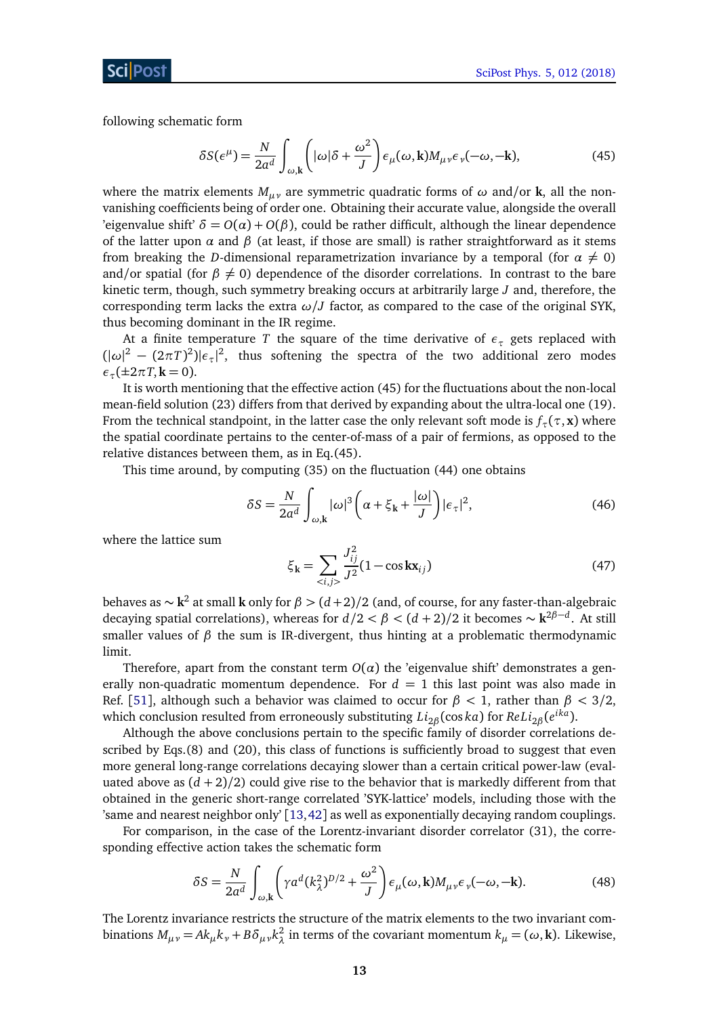following schematic form

$$
\delta S(\epsilon^{\mu}) = \frac{N}{2a^d} \int_{\omega,\mathbf{k}} \left( |\omega| \delta + \frac{\omega^2}{J} \right) \epsilon_{\mu}(\omega, \mathbf{k}) M_{\mu\nu} \epsilon_{\nu}(-\omega, -\mathbf{k}), \tag{45}
$$

where the matrix elements  $M_{\mu\nu}$  are symmetric quadratic forms of  $\omega$  and/or **k**, all the nonvanishing coefficients being of order one. Obtaining their accurate value, alongside the overall 'eigenvalue shift'  $\delta = O(\alpha) + O(\beta)$ , could be rather difficult, although the linear dependence of the latter upon  $\alpha$  and  $\beta$  (at least, if those are small) is rather straightforward as it stems from breaking the *D*-dimensional reparametrization invariance by a temporal (for  $\alpha \neq 0$ ) and/or spatial (for  $\beta \neq 0$ ) dependence of the disorder correlations. In contrast to the bare kinetic term, though, such symmetry breaking occurs at arbitrarily large *J* and, therefore, the corresponding term lacks the extra  $\omega / J$  factor, as compared to the case of the original SYK, thus becoming dominant in the IR regime.

At a finite temperature *T* the square of the time derivative of  $\epsilon_{\tau}$  gets replaced with  $(|\omega|^2 - (2\pi T)^2)|\epsilon_\tau|^2$ , thus softening the spectra of the two additional zero modes  $\epsilon_{\tau}$ (±2*πT*, **k** = 0).

It is worth mentioning that the effective action (45) for the fluctuations about the non-local mean-field solution (23) differs from that derived by expanding about the ultra-local one (19). From the technical standpoint, in the latter case the only relevant soft mode is  $f_\tau(\tau, \mathbf{x})$  where the spatial coordinate pertains to the center-of-mass of a pair of fermions, as opposed to the relative distances between them, as in Eq.(45).

This time around, by computing (35) on the fluctuation (44) one obtains

$$
\delta S = \frac{N}{2a^d} \int_{\omega, \mathbf{k}} |\omega|^3 \left( \alpha + \xi_{\mathbf{k}} + \frac{|\omega|}{J} \right) |\epsilon_{\tau}|^2, \tag{46}
$$

where the lattice sum

$$
\xi_{\mathbf{k}} = \sum_{\langle i,j \rangle} \frac{J_{ij}^2}{J^2} (1 - \cos k \mathbf{x}_{ij})
$$
(47)

behaves as ∼ **k** 2 at small **k** only for *β >* (*d* +2)*/*2 (and, of course, for any faster-than-algebraic decaying spatial correlations), whereas for  $d/2 < \beta < (d+2)/2$  it becomes  $\sim \mathbf{k}^{2\beta-d}$ . At still smaller values of  $\beta$  the sum is IR-divergent, thus hinting at a problematic thermodynamic limit.

Therefore, apart from the constant term  $O(\alpha)$  the 'eigenvalue shift' demonstrates a generally non-quadratic momentum dependence. For  $d = 1$  this last point was also made in Ref. [[51](#page-18-8)], although such a behavior was claimed to occur for *β <* 1, rather than *β <* 3*/*2, which conclusion resulted from erroneously substituting *Li*2*<sup>β</sup>* (cos *ka*) for *ReLi*2*<sup>β</sup>* (*e ika*).

Although the above conclusions pertain to the specific family of disorder correlations described by Eqs.(8) and (20), this class of functions is sufficiently broad to suggest that even more general long-range correlations decaying slower than a certain critical power-law (evaluated above as  $(d+2)/2$ ) could give rise to the behavior that is markedly different from that obtained in the generic short-range correlated 'SYK-lattice' models, including those with the 'same and nearest neighbor only' [[13,](#page-16-5)[42](#page-17-4)] as well as exponentially decaying random couplings.

For comparison, in the case of the Lorentz-invariant disorder correlator (31), the corresponding effective action takes the schematic form

$$
\delta S = \frac{N}{2a^d} \int_{\omega, \mathbf{k}} \left( \gamma a^d (k_\lambda^2)^{D/2} + \frac{\omega^2}{J} \right) \epsilon_\mu(\omega, \mathbf{k}) M_{\mu\nu} \epsilon_\nu(-\omega, -\mathbf{k}). \tag{48}
$$

The Lorentz invariance restricts the structure of the matrix elements to the two invariant combinations  $M_{\mu\nu} = Ak_{\mu}k_{\nu} + B\delta_{\mu\nu}k_{\lambda}^2$ *λ* in terms of the covariant momentum *k<sup>µ</sup>* = (*ω*, **k**). Likewise,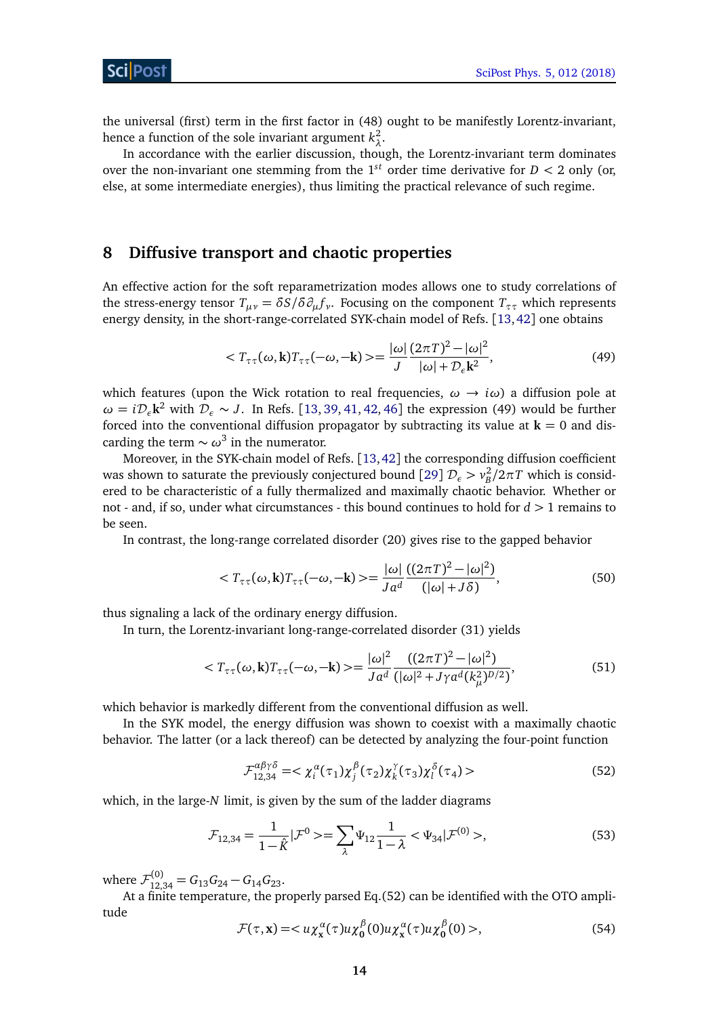the universal (first) term in the first factor in (48) ought to be manifestly Lorentz-invariant, hence a function of the sole invariant argument  $k_1^2$ *λ* .

In accordance with the earlier discussion, though, the Lorentz-invariant term dominates over the non-invariant one stemming from the  $1^{st}$  order time derivative for  $D < 2$  only (or, else, at some intermediate energies), thus limiting the practical relevance of such regime.

## <span id="page-13-0"></span>**8 Diffusive transport and chaotic properties**

An effective action for the soft reparametrization modes allows one to study correlations of the stress-energy tensor  $T_{\mu\nu} = \delta S/\delta \partial_\mu f_\nu$ . Focusing on the component  $T_{\tau\tau}$  which represents energy density, in the short-range-correlated SYK-chain model of Refs. [[13,](#page-16-5)[42](#page-17-4)] one obtains

$$
\langle T_{\tau\tau}(\omega,\mathbf{k})T_{\tau\tau}(-\omega,-\mathbf{k})\rangle = \frac{|\omega|}{J} \frac{(2\pi T)^2 - |\omega|^2}{|\omega| + \mathcal{D}_\epsilon \mathbf{k}^2},\tag{49}
$$

which features (upon the Wick rotation to real frequencies,  $\omega \rightarrow i\omega$ ) a diffusion pole at  $\omega = i \mathcal{D}_\varepsilon \mathbf{k}^2$  with  $\mathcal{D}_\varepsilon \sim J$ . In Refs. [[13,](#page-16-5) [39,](#page-17-5) [41,](#page-17-6) [42,](#page-17-4) [46](#page-18-7)] the expression (49) would be further forced into the conventional diffusion propagator by subtracting its value at  $\mathbf{k} = 0$  and discarding the term  $\sim \omega^3$  in the numerator.

Moreover, in the SYK-chain model of Refs. [[13,](#page-16-5)[42](#page-17-4)] the corresponding diffusion coefficient was shown to saturate the previously conjectured bound [[29](#page-17-7)]  $\mathcal{D}_{\epsilon} > v_B^2/2\pi T$  which is considered to be characteristic of a fully thermalized and maximally chaotic behavior. Whether or not - and, if so, under what circumstances - this bound continues to hold for *d >* 1 remains to be seen.

In contrast, the long-range correlated disorder (20) gives rise to the gapped behavior

$$
\langle T_{\tau\tau}(\omega, \mathbf{k})T_{\tau\tau}(-\omega, -\mathbf{k}) \rangle = \frac{|\omega|}{J a^d} \frac{((2\pi T)^2 - |\omega|^2)}{(|\omega| + J \delta)},\tag{50}
$$

thus signaling a lack of the ordinary energy diffusion.

In turn, the Lorentz-invariant long-range-correlated disorder (31) yields

$$
\langle T_{\tau\tau}(\omega, \mathbf{k}) T_{\tau\tau}(-\omega, -\mathbf{k}) \rangle = \frac{|\omega|^2}{J a^d} \frac{((2\pi T)^2 - |\omega|^2)}{(|\omega|^2 + J\gamma a^d (k_\mu^2)^{D/2})},\tag{51}
$$

which behavior is markedly different from the conventional diffusion as well.

In the SYK model, the energy diffusion was shown to coexist with a maximally chaotic behavior. The latter (or a lack thereof) can be detected by analyzing the four-point function

$$
\mathcal{F}_{12,34}^{\alpha\beta\gamma\delta} = \langle \chi_i^{\alpha}(\tau_1) \chi_j^{\beta}(\tau_2) \chi_k^{\gamma}(\tau_3) \chi_l^{\delta}(\tau_4) \rangle \tag{52}
$$

which, in the large-*N* limit, is given by the sum of the ladder diagrams

$$
\mathcal{F}_{12,34} = \frac{1}{1-\hat{K}} |\mathcal{F}^0 \rangle = \sum_{\lambda} \Psi_{12} \frac{1}{1-\lambda} < \Psi_{34} |\mathcal{F}^{(0)} \rangle, \tag{53}
$$

where  $\mathcal{F}^{(0)}_{12,34} = G_{13}G_{24} - G_{14}G_{23}.$ 

At a finite temperature, the properly parsed Eq.(52) can be identified with the OTO amplitude

$$
\mathcal{F}(\tau, \mathbf{x}) = \langle u \chi_{\mathbf{x}}^{\alpha}(\tau) u \chi_0^{\beta}(0) u \chi_{\mathbf{x}}^{\alpha}(\tau) u \chi_0^{\beta}(0) \rangle, \tag{54}
$$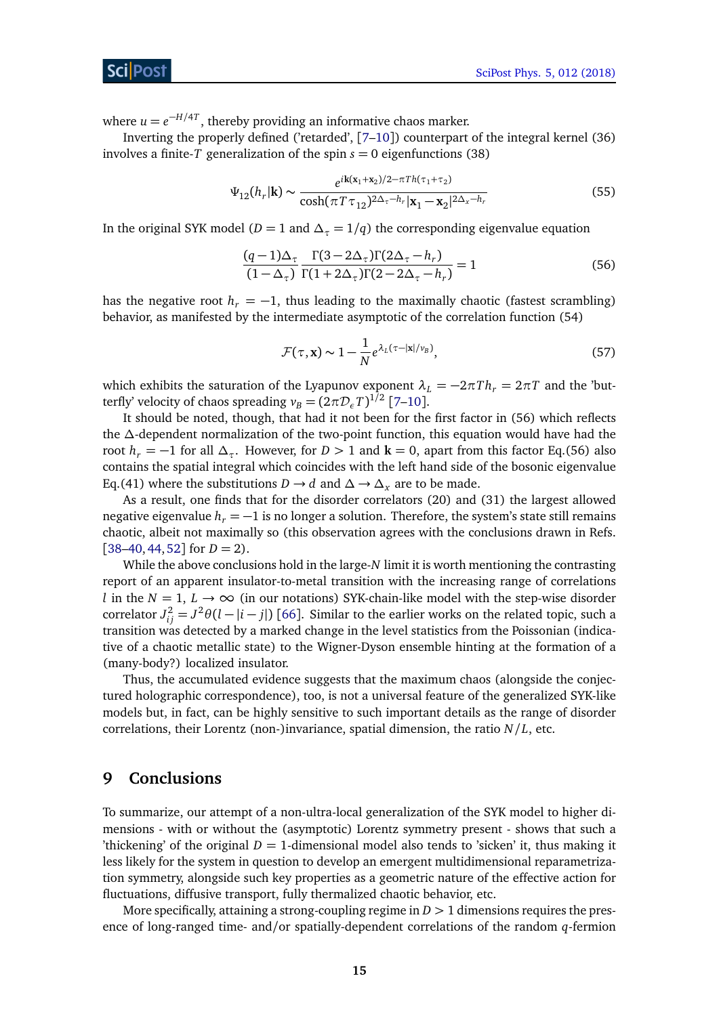#### ScilPos

where  $u = e^{-H/4T}$ , thereby providing an informative chaos marker.

Inverting the properly defined ('retarded', [[7–](#page-16-0)[10](#page-16-7)]) counterpart of the integral kernel (36) involves a finite-*T* generalization of the spin  $s = 0$  eigenfunctions (38)

$$
\Psi_{12}(h_r|\mathbf{k}) \sim \frac{e^{i\mathbf{k}(\mathbf{x}_1 + \mathbf{x}_2)/2 - \pi Th(\tau_1 + \tau_2)}}{\cosh(\pi T \tau_{12})^{2\Delta_{\tau} - h_r} |\mathbf{x}_1 - \mathbf{x}_2|^{2\Delta_x - h_r}}
$$
(55)

In the original SYK model ( $D = 1$  and  $\Delta_{\tau} = 1/q$ ) the corresponding eigenvalue equation

$$
\frac{(q-1)\Delta_{\tau}}{(1-\Delta_{\tau})}\frac{\Gamma(3-2\Delta_{\tau})\Gamma(2\Delta_{\tau}-h_r)}{\Gamma(1+2\Delta_{\tau})\Gamma(2-2\Delta_{\tau}-h_r)} = 1
$$
\n(56)

has the negative root  $h_r = -1$ , thus leading to the maximally chaotic (fastest scrambling) behavior, as manifested by the intermediate asymptotic of the correlation function (54)

$$
\mathcal{F}(\tau, \mathbf{x}) \sim 1 - \frac{1}{N} e^{\lambda_L (\tau - |\mathbf{x}| / v_B)},\tag{57}
$$

which exhibits the saturation of the Lyapunov exponent  $\lambda_L = -2\pi T h_r = 2\pi T$  and the 'butterfly' velocity of chaos spreading  $v_B = (2\pi \mathcal{D}_\epsilon T)^{1/2}$  [[7](#page-16-0)[–10](#page-16-7)].

It should be noted, though, that had it not been for the first factor in (56) which reflects the *∆*-dependent normalization of the two-point function, this equation would have had the root  $h_r = -1$  for all  $\Delta_\tau$ . However, for  $D > 1$  and  $\mathbf{k} = 0$ , apart from this factor Eq.(56) also contains the spatial integral which coincides with the left hand side of the bosonic eigenvalue Eq.(41) where the substitutions *D* → *d* and  $\Delta$  →  $\Delta$ <sub>*x*</sub> are to be made.

As a result, one finds that for the disorder correlators (20) and (31) the largest allowed negative eigenvalue  $h_r = -1$  is no longer a solution. Therefore, the system's state still remains chaotic, albeit not maximally so (this observation agrees with the conclusions drawn in Refs.  $[38–40, 44, 52]$  $[38–40, 44, 52]$  $[38–40, 44, 52]$  $[38–40, 44, 52]$  $[38–40, 44, 52]$  $[38–40, 44, 52]$  $[38–40, 44, 52]$  $[38–40, 44, 52]$  for  $D = 2$ ).

While the above conclusions hold in the large-*N* limit it is worth mentioning the contrasting report of an apparent insulator-to-metal transition with the increasing range of correlations *l* in the  $N = 1$ ,  $L \rightarrow \infty$  (in our notations) SYK-chain-like model with the step-wise disorder correlator  $J_{ij}^2 = J^2 \theta (l - |i - j|)$  [[66](#page-19-3)]. Similar to the earlier works on the related topic, such a transition was detected by a marked change in the level statistics from the Poissonian (indicative of a chaotic metallic state) to the Wigner-Dyson ensemble hinting at the formation of a (many-body?) localized insulator.

Thus, the accumulated evidence suggests that the maximum chaos (alongside the conjectured holographic correspondence), too, is not a universal feature of the generalized SYK-like models but, in fact, can be highly sensitive to such important details as the range of disorder correlations, their Lorentz (non-)invariance, spatial dimension, the ratio  $N/L$ , etc.

## <span id="page-14-0"></span>**9 Conclusions**

To summarize, our attempt of a non-ultra-local generalization of the SYK model to higher dimensions - with or without the (asymptotic) Lorentz symmetry present - shows that such a 'thickening' of the original  $D = 1$ -dimensional model also tends to 'sicken' it, thus making it less likely for the system in question to develop an emergent multidimensional reparametrization symmetry, alongside such key properties as a geometric nature of the effective action for fluctuations, diffusive transport, fully thermalized chaotic behavior, etc.

More specifically, attaining a strong-coupling regime in  $D > 1$  dimensions requires the presence of long-ranged time- and/or spatially-dependent correlations of the random *q*-fermion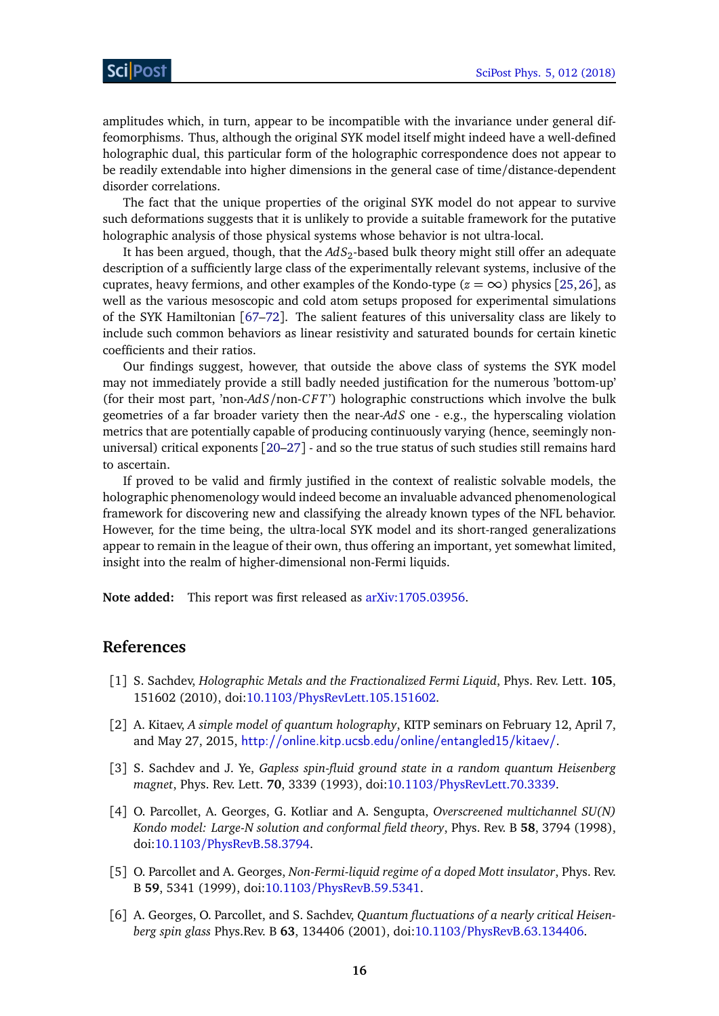amplitudes which, in turn, appear to be incompatible with the invariance under general diffeomorphisms. Thus, although the original SYK model itself might indeed have a well-defined holographic dual, this particular form of the holographic correspondence does not appear to be readily extendable into higher dimensions in the general case of time/distance-dependent disorder correlations.

The fact that the unique properties of the original SYK model do not appear to survive such deformations suggests that it is unlikely to provide a suitable framework for the putative holographic analysis of those physical systems whose behavior is not ultra-local.

It has been argued, though, that the *AdS*<sup>2</sup> -based bulk theory might still offer an adequate description of a sufficiently large class of the experimentally relevant systems, inclusive of the cuprates, heavy fermions, and other examples of the Kondo-type  $(z = \infty)$  physics [[25,](#page-16-6)[26](#page-17-10)], as well as the various mesoscopic and cold atom setups proposed for experimental simulations of the SYK Hamiltonian [[67–](#page-19-4)[72](#page-19-5)]. The salient features of this universality class are likely to include such common behaviors as linear resistivity and saturated bounds for certain kinetic coefficients and their ratios.

Our findings suggest, however, that outside the above class of systems the SYK model may not immediately provide a still badly needed justification for the numerous 'bottom-up' (for their most part, 'non-*AdS*/non-*C F T*') holographic constructions which involve the bulk geometries of a far broader variety then the near-*AdS* one - e.g., the hyperscaling violation metrics that are potentially capable of producing continuously varying (hence, seemingly nonuniversal) critical exponents [[20](#page-16-4)[–27](#page-17-0)] - and so the true status of such studies still remains hard to ascertain.

If proved to be valid and firmly justified in the context of realistic solvable models, the holographic phenomenology would indeed become an invaluable advanced phenomenological framework for discovering new and classifying the already known types of the NFL behavior. However, for the time being, the ultra-local SYK model and its short-ranged generalizations appear to remain in the league of their own, thus offering an important, yet somewhat limited, insight into the realm of higher-dimensional non-Fermi liquids.

<span id="page-15-0"></span>**Note added:** This report was first released as [arXiv:1705.03956.](https://arxiv.org/abs/1705.03956v5)

#### **References**

- <span id="page-15-1"></span>[1] S. Sachdev, *Holographic Metals and the Fractionalized Fermi Liquid*, Phys. Rev. Lett. **105**, 151602 (2010), doi:10.1103/[PhysRevLett.105.151602.](http://dx.doi.org/10.1103/PhysRevLett.105.151602)
- <span id="page-15-2"></span>[2] A. Kitaev, *A simple model of quantum holography*, KITP seminars on February 12, April 7, and May 27, 2015, <http://online.kitp.ucsb.edu/online/entangled15/kitaev/>.
- <span id="page-15-3"></span>[3] S. Sachdev and J. Ye, *Gapless spin-fluid ground state in a random quantum Heisenberg magnet*, Phys. Rev. Lett. **70**, 3339 (1993), doi:10.1103/[PhysRevLett.70.3339.](http://dx.doi.org/10.1103/PhysRevLett.70.3339)
- [4] O. Parcollet, A. Georges, G. Kotliar and A. Sengupta, *Overscreened multichannel SU(N) Kondo model: Large-N solution and conformal field theory*, Phys. Rev. B **58**, 3794 (1998), doi:10.1103/[PhysRevB.58.3794.](http://dx.doi.org/10.1103/PhysRevB.58.3794)
- [5] O. Parcollet and A. Georges, *Non-Fermi-liquid regime of a doped Mott insulator*, Phys. Rev. B **59**, 5341 (1999), doi:10.1103/[PhysRevB.59.5341.](http://dx.doi.org/10.1103/PhysRevB.59.5341)
- <span id="page-15-4"></span>[6] A. Georges, O. Parcollet, and S. Sachdev, *Quantum fluctuations of a nearly critical Heisenberg spin glass* Phys.Rev. B **63**, 134406 (2001), doi:10.1103/[PhysRevB.63.134406.](http://dx.doi.org/10.1103/PhysRevB.63.134406)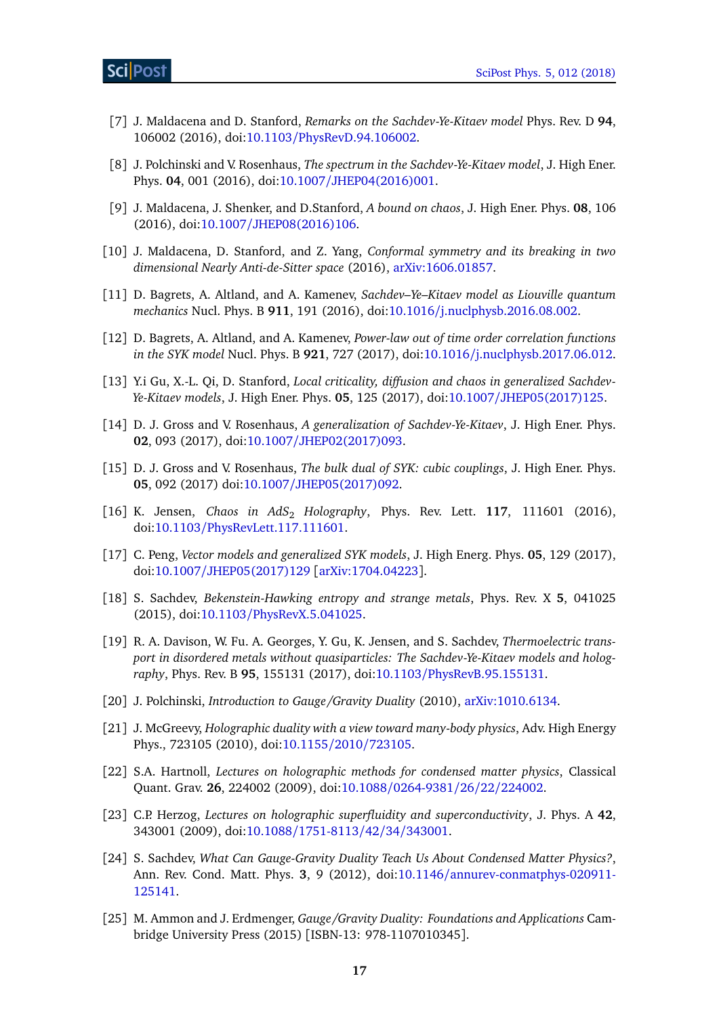- <span id="page-16-0"></span>[7] J. Maldacena and D. Stanford, *Remarks on the Sachdev-Ye-Kitaev model* Phys. Rev. D **94**, 106002 (2016), doi:10.1103/[PhysRevD.94.106002.](http://dx.doi.org/10.1103/PhysRevD.94.106002)
- [8] J. Polchinski and V. Rosenhaus, *The spectrum in the Sachdev-Ye-Kitaev model*, J. High Ener. Phys. **04**, 001 (2016), doi:10.1007/[JHEP04\(2016\)001.](http://dx.doi.org/10.1007/JHEP04(2016)001)
- [9] J. Maldacena, J. Shenker, and D.Stanford, *A bound on chaos*, J. High Ener. Phys. **08**, 106 (2016), doi:10.1007/[JHEP08\(2016\)106.](http://dx.doi.org/10.1007/JHEP08(2016)106)
- <span id="page-16-7"></span>[10] J. Maldacena, D. Stanford, and Z. Yang, *Conformal symmetry and its breaking in two dimensional Nearly Anti-de-Sitter space* (2016), [arXiv:1606.01857.](https://arxiv.org/abs/1606.01857)
- [11] D. Bagrets, A. Altland, and A. Kamenev, *Sachdev–Ye–Kitaev model as Liouville quantum mechanics* Nucl. Phys. B **911**, 191 (2016), doi:10.1016/[j.nuclphysb.2016.08.002.](http://dx.doi.org/10.1016/j.nuclphysb.2016.08.002)
- [12] D. Bagrets, A. Altland, and A. Kamenev, *Power-law out of time order correlation functions in the SYK model* Nucl. Phys. B **921**, 727 (2017), doi:10.1016/[j.nuclphysb.2017.06.012.](http://dx.doi.org/10.1016/j.nuclphysb.2017.06.012)
- <span id="page-16-5"></span>[13] Y.i Gu, X.-L. Qi, D. Stanford, *Local criticality, diffusion and chaos in generalized Sachdev-Ye-Kitaev models*, J. High Ener. Phys. **05**, 125 (2017), doi:10.1007/[JHEP05\(2017\)125.](http://dx.doi.org/10.1007/JHEP05(2017)125)
- [14] D. J. Gross and V. Rosenhaus, *A generalization of Sachdev-Ye-Kitaev*, J. High Ener. Phys. **02**, 093 (2017), doi:10.1007/[JHEP02\(2017\)093.](http://dx.doi.org/10.1007/JHEP02(2017)093)
- [15] D. J. Gross and V. Rosenhaus, *The bulk dual of SYK: cubic couplings*, J. High Ener. Phys. **05**, 092 (2017) doi:10.1007/[JHEP05\(2017\)092.](http://dx.doi.org/10.1007/JHEP05(2017)092)
- [16] K. Jensen, *Chaos in AdS*<sup>2</sup> *Holography*, Phys. Rev. Lett. **117**, 111601 (2016), doi:10.1103/[PhysRevLett.117.111601.](http://dx.doi.org/10.1103/PhysRevLett.117.111601)
- <span id="page-16-1"></span>[17] C. Peng, *Vector models and generalized SYK models*, J. High Energ. Phys. **05**, 129 (2017), doi:10.1007/[JHEP05\(2017\)129](http://dx.doi.org/10.1007/JHEP05(2017)129) [[arXiv:1704.04223](https://arxiv.org/abs/1704.04223)].
- <span id="page-16-2"></span>[18] S. Sachdev, *Bekenstein-Hawking entropy and strange metals*, Phys. Rev. X **5**, 041025 (2015), doi:10.1103/[PhysRevX.5.041025.](http://dx.doi.org/10.1103/PhysRevX.5.041025)
- <span id="page-16-3"></span>[19] R. A. Davison, W. Fu. A. Georges, Y. Gu, K. Jensen, and S. Sachdev, *Thermoelectric transport in disordered metals without quasiparticles: The Sachdev-Ye-Kitaev models and holography*, Phys. Rev. B **95**, 155131 (2017), doi:10.1103/[PhysRevB.95.155131.](http://dx.doi.org/10.1103/PhysRevB.95.155131)
- <span id="page-16-4"></span>[20] J. Polchinski, *Introduction to Gauge/Gravity Duality* (2010), [arXiv:1010.6134.](https://arxiv.org/abs/1010.6134)
- [21] J. McGreevy, *Holographic duality with a view toward many-body physics*, Adv. High Energy Phys., 723105 (2010), doi[:10.1155](http://dx.doi.org/10.1155/2010/723105)/2010/723105.
- [22] S.A. Hartnoll, *Lectures on holographic methods for condensed matter physics*, Classical Quant. Grav. **26**, 224002 (2009), doi:10.1088/[0264-9381](http://dx.doi.org/10.1088/0264-9381/26/22/224002)/26/22/224002.
- [23] C.P. Herzog, *Lectures on holographic superfluidity and superconductivity*, J. Phys. A **42**, 343001 (2009), doi:10.1088/[1751-8113](http://dx.doi.org/10.1088/1751-8113/42/34/343001)/42/34/343001.
- [24] S. Sachdev, *What Can Gauge-Gravity Duality Teach Us About Condensed Matter Physics?*, Ann. Rev. Cond. Matt. Phys. **3**, 9 (2012), doi:10.1146/[annurev-conmatphys-020911-](http://dx.doi.org/10.1146/annurev-conmatphys-020911-125141) [125141.](http://dx.doi.org/10.1146/annurev-conmatphys-020911-125141)
- <span id="page-16-6"></span>[25] M. Ammon and J. Erdmenger, *Gauge/Gravity Duality: Foundations and Applications* Cambridge University Press (2015) [ISBN-13: 978-1107010345].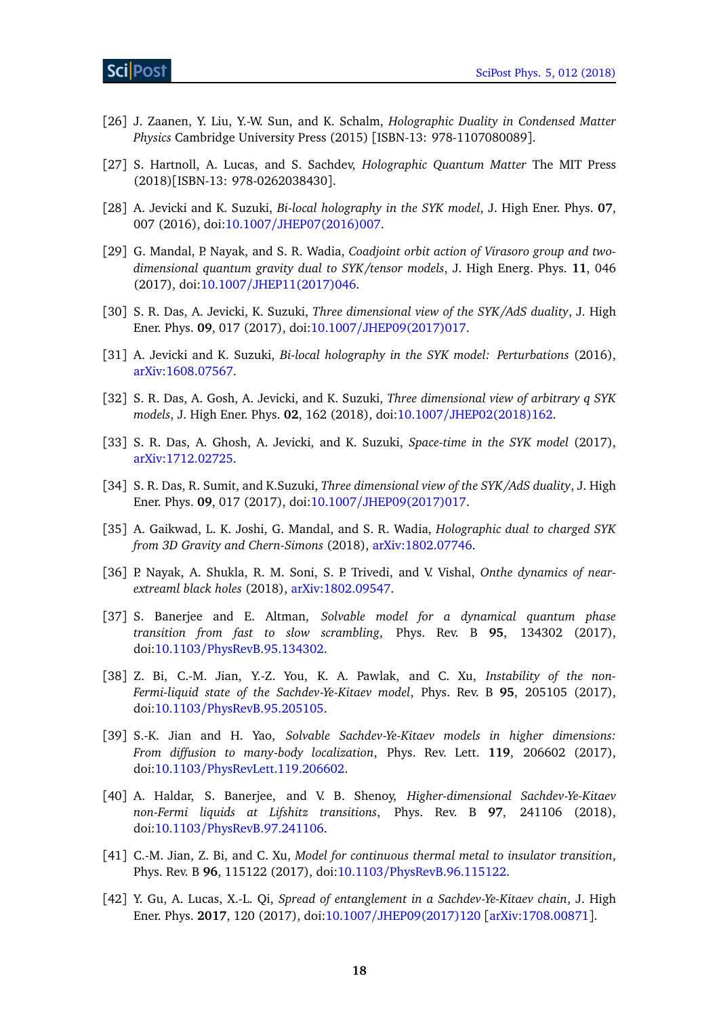- <span id="page-17-10"></span>[26] J. Zaanen, Y. Liu, Y.-W. Sun, and K. Schalm, *Holographic Duality in Condensed Matter Physics* Cambridge University Press (2015) [ISBN-13: 978-1107080089].
- <span id="page-17-0"></span>[27] S. Hartnoll, A. Lucas, and S. Sachdev, *Holographic Quantum Matter* The MIT Press (2018)[ISBN-13: 978-0262038430].
- <span id="page-17-1"></span>[28] A. Jevicki and K. Suzuki, *Bi-local holography in the SYK model*, J. High Ener. Phys. **07**, 007 (2016), doi:10.1007/[JHEP07\(2016\)007.](http://dx.doi.org/10.1007/JHEP07(2016)007)
- <span id="page-17-7"></span>[29] G. Mandal, P. Nayak, and S. R. Wadia, *Coadjoint orbit action of Virasoro group and twodimensional quantum gravity dual to SYK/tensor models*, J. High Energ. Phys. **11**, 046 (2017), doi:10.1007/[JHEP11\(2017\)046.](http://dx.doi.org/10.1007/JHEP11(2017)046)
- [30] S. R. Das, A. Jevicki, K. Suzuki, *Three dimensional view of the SYK/AdS duality*, J. High Ener. Phys. **09**, 017 (2017), doi:10.1007/[JHEP09\(2017\)017.](http://dx.doi.org/10.1007/JHEP09(2017)017)
- [31] A. Jevicki and K. Suzuki, *Bi-local holography in the SYK model: Perturbations* (2016), [arXiv:1608.07567.](https://arxiv.org/abs/1608.07567)
- [32] S. R. Das, A. Gosh, A. Jevicki, and K. Suzuki, *Three dimensional view of arbitrary q SYK models*, J. High Ener. Phys. **02**, 162 (2018), doi:10.1007/[JHEP02\(2018\)162.](http://dx.doi.org/10.1007/JHEP02(2018)162)
- [33] S. R. Das, A. Ghosh, A. Jevicki, and K. Suzuki, *Space-time in the SYK model* (2017), [arXiv:1712.02725.](https://arxiv.org/abs/1712.02725)
- [34] S. R. Das, R. Sumit, and K.Suzuki, *Three dimensional view of the SYK/AdS duality*, J. High Ener. Phys. **09**, 017 (2017), doi:10.1007/[JHEP09\(2017\)017.](http://dx.doi.org/10.1007/JHEP09(2017)017)
- [35] A. Gaikwad, L. K. Joshi, G. Mandal, and S. R. Wadia, *Holographic dual to charged SYK from 3D Gravity and Chern-Simons* (2018), [arXiv:1802.07746.](https://arxiv.org/abs/1802.07746)
- <span id="page-17-2"></span>[36] P. Nayak, A. Shukla, R. M. Soni, S. P. Trivedi, and V. Vishal, *Onthe dynamics of nearextreaml black holes* (2018), [arXiv:1802.09547.](https://arxiv.org/abs/1802.09547)
- <span id="page-17-3"></span>[37] S. Banerjee and E. Altman, *Solvable model for a dynamical quantum phase transition from fast to slow scrambling*, Phys. Rev. B **95**, 134302 (2017), doi:10.1103/[PhysRevB.95.134302.](http://dx.doi.org/10.1103/PhysRevB.95.134302)
- <span id="page-17-8"></span>[38] Z. Bi, C.-M. Jian, Y.-Z. You, K. A. Pawlak, and C. Xu, *Instability of the non-Fermi-liquid state of the Sachdev-Ye-Kitaev model*, Phys. Rev. B **95**, 205105 (2017), doi:10.1103/[PhysRevB.95.205105.](http://dx.doi.org/10.1103/PhysRevB.95.205105)
- <span id="page-17-5"></span>[39] S.-K. Jian and H. Yao, *Solvable Sachdev-Ye-Kitaev models in higher dimensions: From diffusion to many-body localization*, Phys. Rev. Lett. **119**, 206602 (2017), doi:10.1103/[PhysRevLett.119.206602.](http://dx.doi.org/10.1103/PhysRevLett.119.206602)
- <span id="page-17-9"></span>[40] A. Haldar, S. Banerjee, and V. B. Shenoy, *Higher-dimensional Sachdev-Ye-Kitaev non-Fermi liquids at Lifshitz transitions*, Phys. Rev. B **97**, 241106 (2018), doi:10.1103/[PhysRevB.97.241106.](http://dx.doi.org/10.1103/PhysRevB.97.241106)
- <span id="page-17-6"></span>[41] C.-M. Jian, Z. Bi, and C. Xu, *Model for continuous thermal metal to insulator transition*, Phys. Rev. B **96**, 115122 (2017), doi:10.1103/[PhysRevB.96.115122.](http://dx.doi.org/10.1103/PhysRevB.96.115122)
- <span id="page-17-4"></span>[42] Y. Gu, A. Lucas, X.-L. Qi, *Spread of entanglement in a Sachdev-Ye-Kitaev chain*, J. High Ener. Phys. **2017**, 120 (2017), doi:10.1007/[JHEP09\(2017\)120](http://dx.doi.org/10.1007/JHEP09(2017)120) [[arXiv:1708.00871](https://arxiv.org/abs/1708.00871)].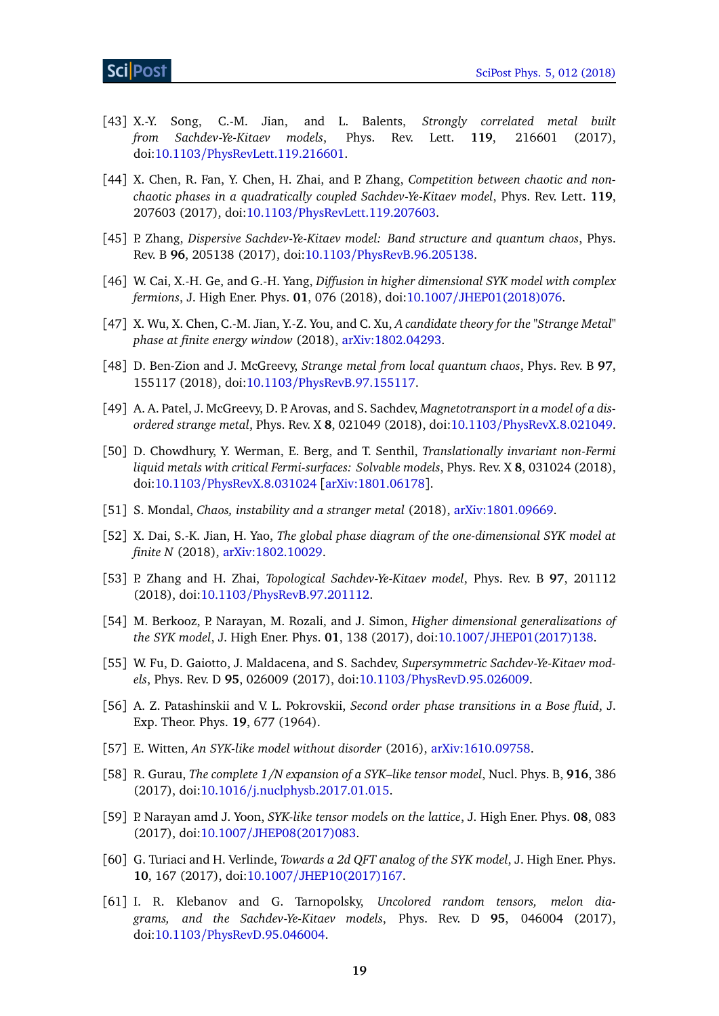- [43] X.-Y. Song, C.-M. Jian, and L. Balents, *Strongly correlated metal built from Sachdev-Ye-Kitaev models*, Phys. Rev. Lett. **119**, 216601 (2017), doi:10.1103/[PhysRevLett.119.216601.](http://dx.doi.org/10.1103/PhysRevLett.119.216601)
- <span id="page-18-9"></span>[44] X. Chen, R. Fan, Y. Chen, H. Zhai, and P. Zhang, *Competition between chaotic and nonchaotic phases in a quadratically coupled Sachdev-Ye-Kitaev model*, Phys. Rev. Lett. **119**, 207603 (2017), doi:10.1103/[PhysRevLett.119.207603.](http://dx.doi.org/10.1103/PhysRevLett.119.207603)
- [45] P. Zhang, *Dispersive Sachdev-Ye-Kitaev model: Band structure and quantum chaos*, Phys. Rev. B **96**, 205138 (2017), doi:10.1103/[PhysRevB.96.205138.](http://dx.doi.org/10.1103/PhysRevB.96.205138)
- <span id="page-18-7"></span>[46] W. Cai, X.-H. Ge, and G.-H. Yang, *Diffusion in higher dimensional SYK model with complex fermions*, J. High Ener. Phys. **01**, 076 (2018), doi:10.1007/[JHEP01\(2018\)076.](http://dx.doi.org/10.1007/JHEP01(2018)076)
- [47] X. Wu, X. Chen, C.-M. Jian, Y.-Z. You, and C. Xu, *A candidate theory for the "Strange Metal" phase at finite energy window* (2018), [arXiv:1802.04293.](https://arxiv.org/abs/1802.04293)
- [48] D. Ben-Zion and J. McGreevy, *Strange metal from local quantum chaos*, Phys. Rev. B **97**, 155117 (2018), doi:10.1103/[PhysRevB.97.155117.](http://dx.doi.org/10.1103/PhysRevB.97.155117)
- [49] A. A. Patel, J. McGreevy, D. P. Arovas, and S. Sachdev, *Magnetotransport in a model of a disordered strange metal*, Phys. Rev. X **8**, 021049 (2018), doi:10.1103/[PhysRevX.8.021049.](http://dx.doi.org/10.1103/PhysRevX.8.021049)
- [50] D. Chowdhury, Y. Werman, E. Berg, and T. Senthil, *Translationally invariant non-Fermi liquid metals with critical Fermi-surfaces: Solvable models*, Phys. Rev. X **8**, 031024 (2018), doi:10.1103/[PhysRevX.8.031024](http://dx.doi.org/10.1103/PhysRevX.8.031024) [[arXiv:1801.06178](https://arxiv.org/abs/1801.06178)].
- <span id="page-18-8"></span>[51] S. Mondal, *Chaos, instability and a stranger metal* (2018), [arXiv:1801.09669.](https://arxiv.org/abs/1801.09669)
- <span id="page-18-10"></span>[52] X. Dai, S.-K. Jian, H. Yao, *The global phase diagram of the one-dimensional SYK model at finite N* (2018), [arXiv:1802.10029.](https://arxiv.org/abs/1802.10029)
- [53] P. Zhang and H. Zhai, *Topological Sachdev-Ye-Kitaev model*, Phys. Rev. B **97**, 201112 (2018), doi:10.1103/[PhysRevB.97.201112.](http://dx.doi.org/10.1103/PhysRevB.97.201112)
- <span id="page-18-0"></span>[54] M. Berkooz, P. Narayan, M. Rozali, and J. Simon, *Higher dimensional generalizations of the SYK model*, J. High Ener. Phys. **01**, 138 (2017), doi:10.1007/[JHEP01\(2017\)138.](http://dx.doi.org/10.1007/JHEP01(2017)138)
- <span id="page-18-1"></span>[55] W. Fu, D. Gaiotto, J. Maldacena, and S. Sachdev, *Supersymmetric Sachdev-Ye-Kitaev models*, Phys. Rev. D **95**, 026009 (2017), doi:10.1103/[PhysRevD.95.026009.](http://dx.doi.org/10.1103/PhysRevD.95.026009)
- <span id="page-18-2"></span>[56] A. Z. Patashinskii and V. L. Pokrovskii, *Second order phase transitions in a Bose fluid*, J. Exp. Theor. Phys. **19**, 677 (1964).
- <span id="page-18-3"></span>[57] E. Witten, *An SYK-like model without disorder* (2016), [arXiv:1610.09758.](https://arxiv.org/abs/1610.09758)
- [58] R. Gurau, *The complete 1/N expansion of a SYK–like tensor model*, Nucl. Phys. B, **916**, 386 (2017), doi:10.1016/[j.nuclphysb.2017.01.015.](http://dx.doi.org/10.1016/j.nuclphysb.2017.01.015)
- <span id="page-18-4"></span>[59] P. Narayan amd J. Yoon, *SYK-like tensor models on the lattice*, J. High Ener. Phys. **08**, 083 (2017), doi:10.1007/[JHEP08\(2017\)083.](http://dx.doi.org/10.1007/JHEP08(2017)083)
- <span id="page-18-5"></span>[60] G. Turiaci and H. Verlinde, *Towards a 2d QFT analog of the SYK model*, J. High Ener. Phys. **10**, 167 (2017), doi:10.1007/[JHEP10\(2017\)167.](http://dx.doi.org/10.1007/JHEP10(2017)167)
- <span id="page-18-6"></span>[61] I. R. Klebanov and G. Tarnopolsky, *Uncolored random tensors, melon diagrams, and the Sachdev-Ye-Kitaev models*, Phys. Rev. D **95**, 046004 (2017), doi:10.1103/[PhysRevD.95.046004.](http://dx.doi.org/10.1103/PhysRevD.95.046004)